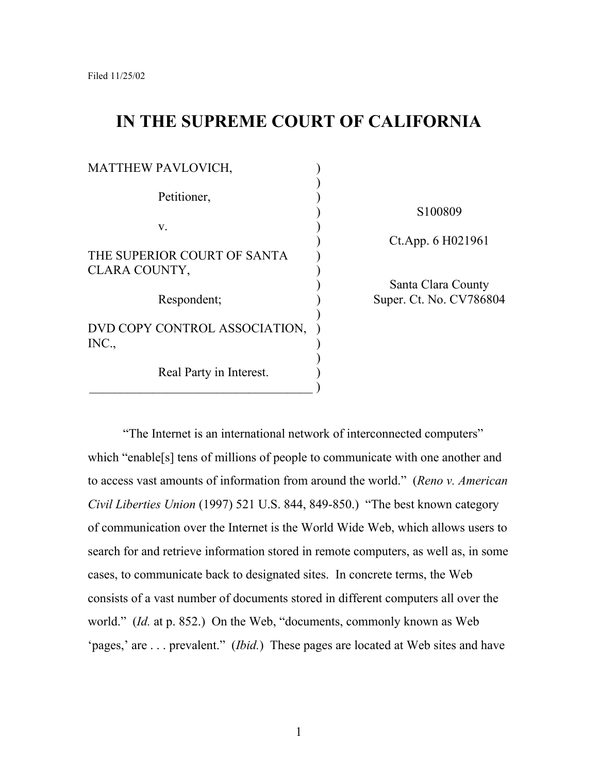# **IN THE SUPREME COURT OF CALIFORNIA**

| <b>MATTHEW PAVLOVICH,</b>                    |                     |
|----------------------------------------------|---------------------|
| Petitioner,                                  |                     |
|                                              | S <sub>100809</sub> |
| V.                                           | $Ct$ . App. 6 H02   |
| THE SUPERIOR COURT OF SANTA<br>CLARA COUNTY, |                     |
|                                              | Santa Clara Co      |
| Respondent;                                  | Super. Ct. No. CV   |
| DVD COPY CONTROL ASSOCIATION,<br>INC.,       |                     |
| Real Party in Interest.                      |                     |

) Ct.App. 6 H021961

 ) Santa Clara County Super. Ct. No. CV786804

"The Internet is an international network of interconnected computers" which "enable[s] tens of millions of people to communicate with one another and to access vast amounts of information from around the world." (*Reno v. American Civil Liberties Union* (1997) 521 U.S. 844, 849-850.) "The best known category of communication over the Internet is the World Wide Web, which allows users to search for and retrieve information stored in remote computers, as well as, in some cases, to communicate back to designated sites. In concrete terms, the Web consists of a vast number of documents stored in different computers all over the world." (*Id.* at p. 852.) On the Web, "documents, commonly known as Web 'pages,' are . . . prevalent." (*Ibid.*) These pages are located at Web sites and have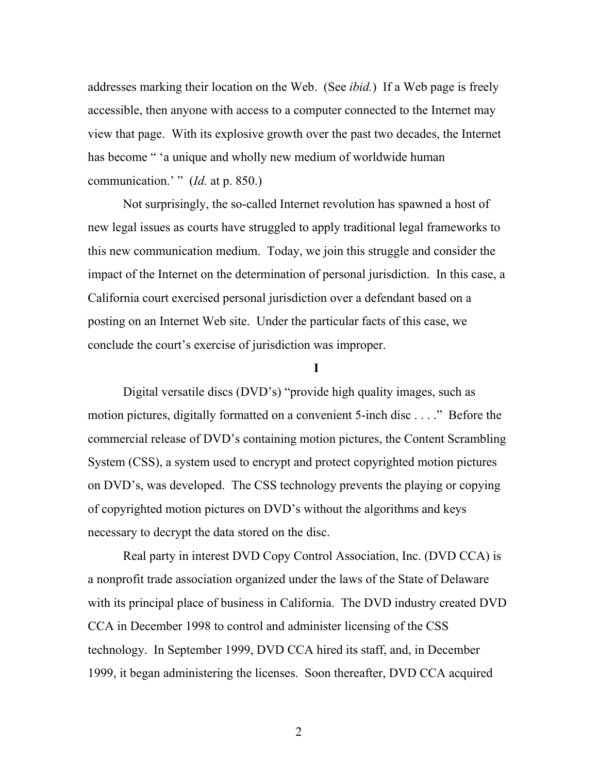addresses marking their location on the Web. (See *ibid.*) If a Web page is freely accessible, then anyone with access to a computer connected to the Internet may view that page. With its explosive growth over the past two decades, the Internet has become " 'a unique and wholly new medium of worldwide human communication.' " (*Id.* at p. 850.)

Not surprisingly, the so-called Internet revolution has spawned a host of new legal issues as courts have struggled to apply traditional legal frameworks to this new communication medium. Today, we join this struggle and consider the impact of the Internet on the determination of personal jurisdiction. In this case, a California court exercised personal jurisdiction over a defendant based on a posting on an Internet Web site. Under the particular facts of this case, we conclude the court's exercise of jurisdiction was improper.

## **I**

Digital versatile discs (DVD's) "provide high quality images, such as motion pictures, digitally formatted on a convenient 5-inch disc . . . ." Before the commercial release of DVD's containing motion pictures, the Content Scrambling System (CSS), a system used to encrypt and protect copyrighted motion pictures on DVD's, was developed. The CSS technology prevents the playing or copying of copyrighted motion pictures on DVD's without the algorithms and keys necessary to decrypt the data stored on the disc.

Real party in interest DVD Copy Control Association, Inc. (DVD CCA) is a nonprofit trade association organized under the laws of the State of Delaware with its principal place of business in California. The DVD industry created DVD CCA in December 1998 to control and administer licensing of the CSS technology. In September 1999, DVD CCA hired its staff, and, in December 1999, it began administering the licenses. Soon thereafter, DVD CCA acquired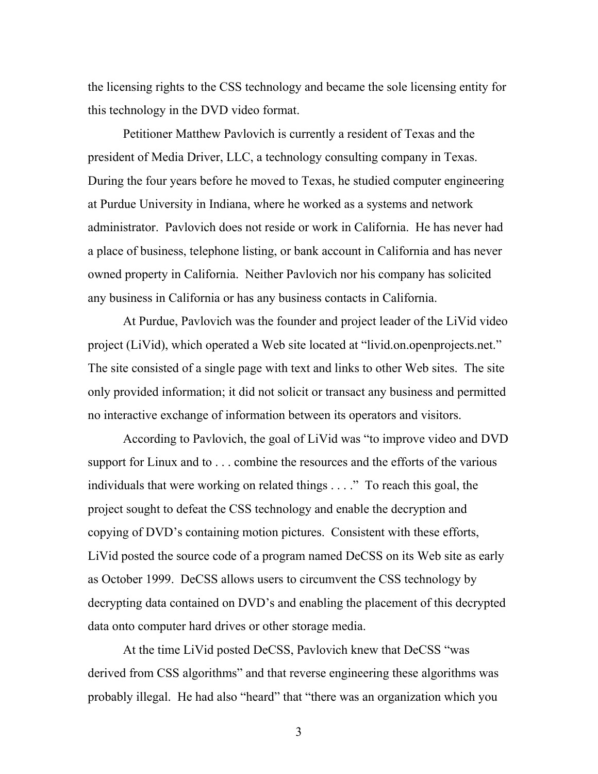the licensing rights to the CSS technology and became the sole licensing entity for this technology in the DVD video format.

Petitioner Matthew Pavlovich is currently a resident of Texas and the president of Media Driver, LLC, a technology consulting company in Texas. During the four years before he moved to Texas, he studied computer engineering at Purdue University in Indiana, where he worked as a systems and network administrator. Pavlovich does not reside or work in California. He has never had a place of business, telephone listing, or bank account in California and has never owned property in California. Neither Pavlovich nor his company has solicited any business in California or has any business contacts in California.

At Purdue, Pavlovich was the founder and project leader of the LiVid video project (LiVid), which operated a Web site located at "livid.on.openprojects.net." The site consisted of a single page with text and links to other Web sites. The site only provided information; it did not solicit or transact any business and permitted no interactive exchange of information between its operators and visitors.

According to Pavlovich, the goal of LiVid was "to improve video and DVD support for Linux and to . . . combine the resources and the efforts of the various individuals that were working on related things . . . ." To reach this goal, the project sought to defeat the CSS technology and enable the decryption and copying of DVD's containing motion pictures. Consistent with these efforts, LiVid posted the source code of a program named DeCSS on its Web site as early as October 1999. DeCSS allows users to circumvent the CSS technology by decrypting data contained on DVD's and enabling the placement of this decrypted data onto computer hard drives or other storage media.

At the time LiVid posted DeCSS, Pavlovich knew that DeCSS "was derived from CSS algorithms" and that reverse engineering these algorithms was probably illegal. He had also "heard" that "there was an organization which you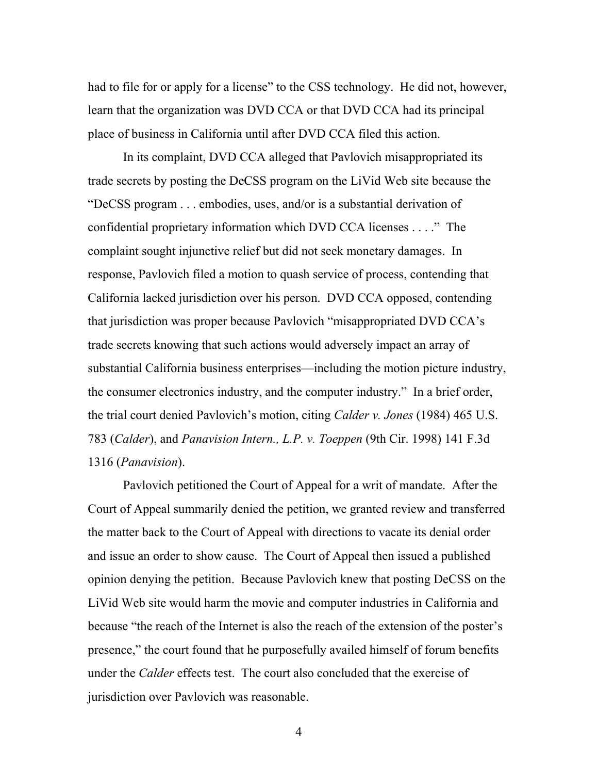had to file for or apply for a license" to the CSS technology. He did not, however, learn that the organization was DVD CCA or that DVD CCA had its principal place of business in California until after DVD CCA filed this action.

In its complaint, DVD CCA alleged that Pavlovich misappropriated its trade secrets by posting the DeCSS program on the LiVid Web site because the "DeCSS program . . . embodies, uses, and/or is a substantial derivation of confidential proprietary information which DVD CCA licenses . . . ." The complaint sought injunctive relief but did not seek monetary damages. In response, Pavlovich filed a motion to quash service of process, contending that California lacked jurisdiction over his person. DVD CCA opposed, contending that jurisdiction was proper because Pavlovich "misappropriated DVD CCA's trade secrets knowing that such actions would adversely impact an array of substantial California business enterprises—including the motion picture industry, the consumer electronics industry, and the computer industry." In a brief order, the trial court denied Pavlovich's motion, citing *Calder v. Jones* (1984) 465 U.S. 783 (*Calder*), and *Panavision Intern., L.P. v. Toeppen* (9th Cir. 1998) 141 F.3d 1316 (*Panavision*).

Pavlovich petitioned the Court of Appeal for a writ of mandate. After the Court of Appeal summarily denied the petition, we granted review and transferred the matter back to the Court of Appeal with directions to vacate its denial order and issue an order to show cause. The Court of Appeal then issued a published opinion denying the petition. Because Pavlovich knew that posting DeCSS on the LiVid Web site would harm the movie and computer industries in California and because "the reach of the Internet is also the reach of the extension of the poster's presence," the court found that he purposefully availed himself of forum benefits under the *Calder* effects test. The court also concluded that the exercise of jurisdiction over Pavlovich was reasonable.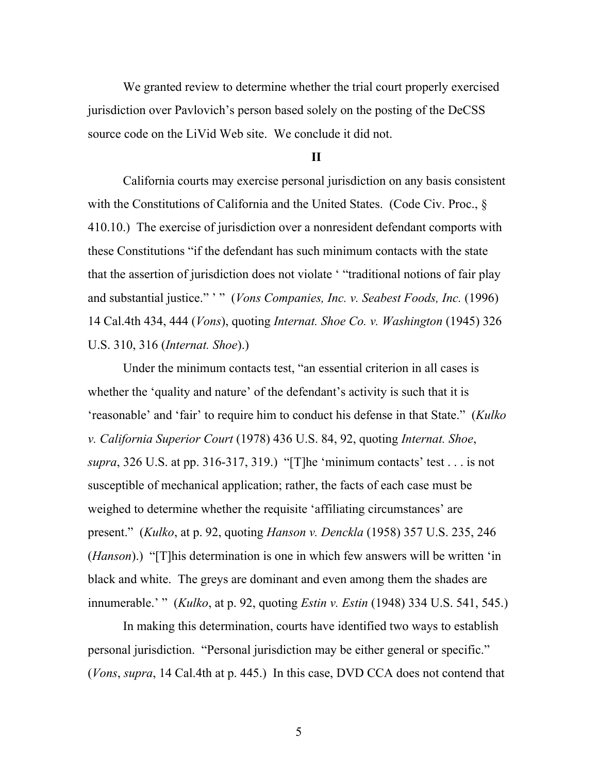We granted review to determine whether the trial court properly exercised jurisdiction over Pavlovich's person based solely on the posting of the DeCSS source code on the LiVid Web site. We conclude it did not.

## **II**

California courts may exercise personal jurisdiction on any basis consistent with the Constitutions of California and the United States. (Code Civ. Proc., § 410.10.) The exercise of jurisdiction over a nonresident defendant comports with these Constitutions "if the defendant has such minimum contacts with the state that the assertion of jurisdiction does not violate ' "traditional notions of fair play and substantial justice." ' " (*Vons Companies, Inc. v. Seabest Foods, Inc.* (1996) 14 Cal.4th 434, 444 (*Vons*), quoting *Internat. Shoe Co. v. Washington* (1945) 326 U.S. 310, 316 (*Internat. Shoe*).)

Under the minimum contacts test, "an essential criterion in all cases is whether the 'quality and nature' of the defendant's activity is such that it is 'reasonable' and 'fair' to require him to conduct his defense in that State." (*Kulko v. California Superior Court* (1978) 436 U.S. 84, 92, quoting *Internat. Shoe*, *supra*, 326 U.S. at pp. 316-317, 319.) "[T]he 'minimum contacts' test . . . is not susceptible of mechanical application; rather, the facts of each case must be weighed to determine whether the requisite 'affiliating circumstances' are present." (*Kulko*, at p. 92, quoting *Hanson v. Denckla* (1958) 357 U.S. 235, 246 (*Hanson*).) "[T]his determination is one in which few answers will be written 'in black and white. The greys are dominant and even among them the shades are innumerable.' " (*Kulko*, at p. 92, quoting *Estin v. Estin* (1948) 334 U.S. 541, 545.)

In making this determination, courts have identified two ways to establish personal jurisdiction. "Personal jurisdiction may be either general or specific." (*Vons*, *supra*, 14 Cal.4th at p. 445.) In this case, DVD CCA does not contend that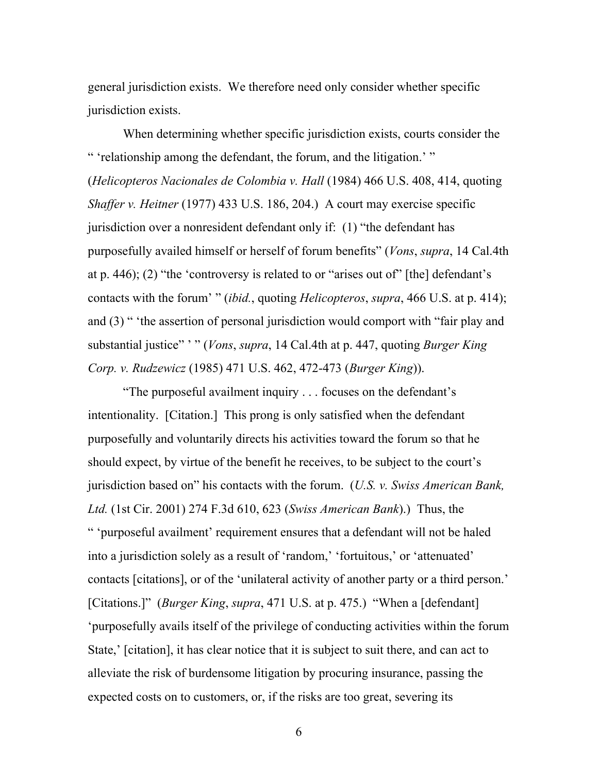general jurisdiction exists. We therefore need only consider whether specific jurisdiction exists.

When determining whether specific jurisdiction exists, courts consider the " 'relationship among the defendant, the forum, and the litigation.' " (*Helicopteros Nacionales de Colombia v. Hall* (1984) 466 U.S. 408, 414, quoting *Shaffer v. Heitner* (1977) 433 U.S. 186, 204.) A court may exercise specific jurisdiction over a nonresident defendant only if: (1) "the defendant has purposefully availed himself or herself of forum benefits" (*Vons*, *supra*, 14 Cal.4th at p. 446); (2) "the 'controversy is related to or "arises out of" [the] defendant's contacts with the forum' " (*ibid.*, quoting *Helicopteros*, *supra*, 466 U.S. at p. 414); and (3) " 'the assertion of personal jurisdiction would comport with "fair play and substantial justice" ' " (*Vons*, *supra*, 14 Cal.4th at p. 447, quoting *Burger King Corp. v. Rudzewicz* (1985) 471 U.S. 462, 472-473 (*Burger King*)).

"The purposeful availment inquiry . . . focuses on the defendant's intentionality. [Citation.] This prong is only satisfied when the defendant purposefully and voluntarily directs his activities toward the forum so that he should expect, by virtue of the benefit he receives, to be subject to the court's jurisdiction based on" his contacts with the forum. (*U.S. v. Swiss American Bank, Ltd.* (1st Cir. 2001) 274 F.3d 610, 623 (*Swiss American Bank*).) Thus, the " 'purposeful availment' requirement ensures that a defendant will not be haled into a jurisdiction solely as a result of 'random,' 'fortuitous,' or 'attenuated' contacts [citations], or of the 'unilateral activity of another party or a third person.' [Citations.]" (*Burger King*, *supra*, 471 U.S. at p. 475.) "When a [defendant] 'purposefully avails itself of the privilege of conducting activities within the forum State,' [citation], it has clear notice that it is subject to suit there, and can act to alleviate the risk of burdensome litigation by procuring insurance, passing the expected costs on to customers, or, if the risks are too great, severing its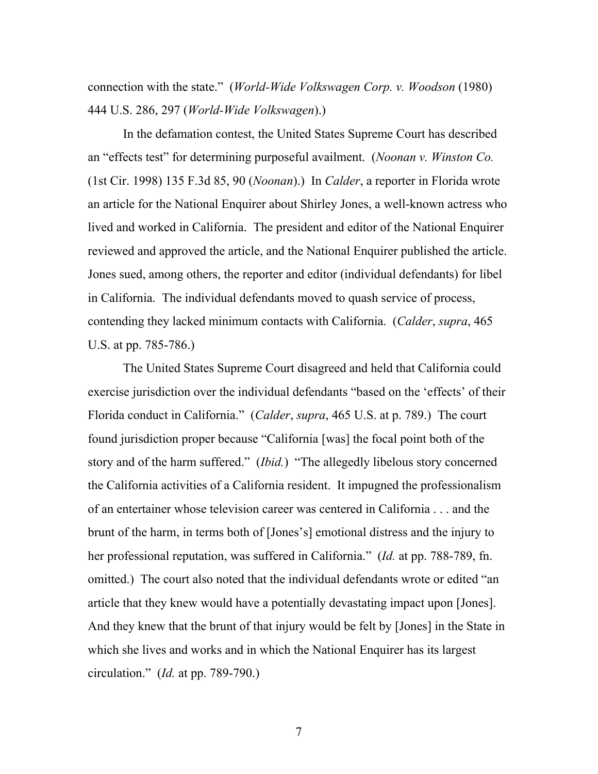connection with the state." (*World-Wide Volkswagen Corp. v. Woodson* (1980) 444 U.S. 286, 297 (*World-Wide Volkswagen*).)

In the defamation contest, the United States Supreme Court has described an "effects test" for determining purposeful availment. (*Noonan v. Winston Co.* (1st Cir. 1998) 135 F.3d 85, 90 (*Noonan*).) In *Calder*, a reporter in Florida wrote an article for the National Enquirer about Shirley Jones, a well-known actress who lived and worked in California. The president and editor of the National Enquirer reviewed and approved the article, and the National Enquirer published the article. Jones sued, among others, the reporter and editor (individual defendants) for libel in California. The individual defendants moved to quash service of process, contending they lacked minimum contacts with California. (*Calder*, *supra*, 465 U.S. at pp. 785-786.)

The United States Supreme Court disagreed and held that California could exercise jurisdiction over the individual defendants "based on the 'effects' of their Florida conduct in California." (*Calder*, *supra*, 465 U.S. at p. 789.) The court found jurisdiction proper because "California [was] the focal point both of the story and of the harm suffered." (*Ibid.*) "The allegedly libelous story concerned the California activities of a California resident. It impugned the professionalism of an entertainer whose television career was centered in California . . . and the brunt of the harm, in terms both of [Jones's] emotional distress and the injury to her professional reputation, was suffered in California." (*Id.* at pp. 788-789, fn. omitted.) The court also noted that the individual defendants wrote or edited "an article that they knew would have a potentially devastating impact upon [Jones]. And they knew that the brunt of that injury would be felt by [Jones] in the State in which she lives and works and in which the National Enquirer has its largest circulation." (*Id.* at pp. 789-790.)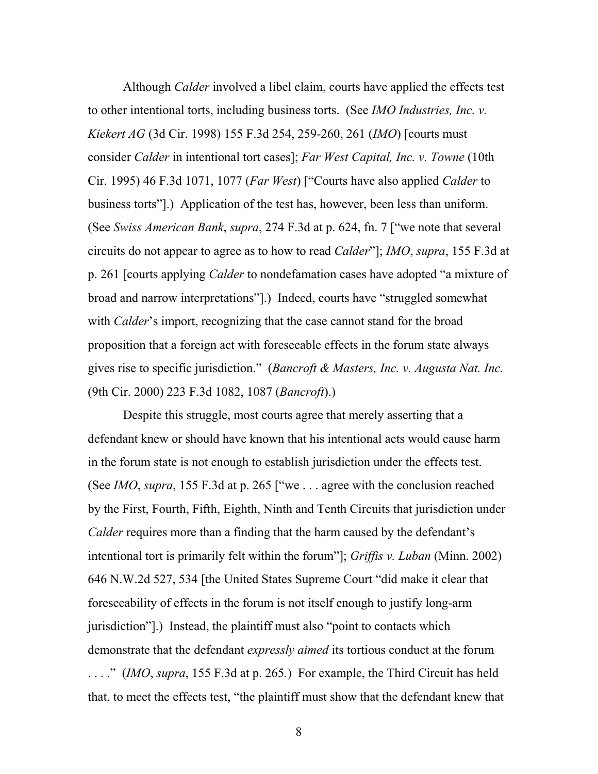Although *Calder* involved a libel claim, courts have applied the effects test to other intentional torts, including business torts. (See *IMO Industries, Inc. v. Kiekert AG* (3d Cir. 1998) 155 F.3d 254, 259-260, 261 (*IMO*) [courts must consider *Calder* in intentional tort cases]; *Far West Capital, Inc. v. Towne* (10th Cir. 1995) 46 F.3d 1071, 1077 (*Far West*) ["Courts have also applied *Calder* to business torts"].) Application of the test has, however, been less than uniform. (See *Swiss American Bank*, *supra*, 274 F.3d at p. 624, fn. 7 ["we note that several circuits do not appear to agree as to how to read *Calder*"]; *IMO*, *supra*, 155 F.3d at p. 261 [courts applying *Calder* to nondefamation cases have adopted "a mixture of broad and narrow interpretations"].) Indeed, courts have "struggled somewhat with *Calder*'s import, recognizing that the case cannot stand for the broad proposition that a foreign act with foreseeable effects in the forum state always gives rise to specific jurisdiction." (*Bancroft & Masters, Inc. v. Augusta Nat. Inc.* (9th Cir. 2000) 223 F.3d 1082, 1087 (*Bancroft*).)

Despite this struggle, most courts agree that merely asserting that a defendant knew or should have known that his intentional acts would cause harm in the forum state is not enough to establish jurisdiction under the effects test. (See *IMO*, *supra*, 155 F.3d at p. 265 ["we . . . agree with the conclusion reached by the First, Fourth, Fifth, Eighth, Ninth and Tenth Circuits that jurisdiction under *Calder* requires more than a finding that the harm caused by the defendant's intentional tort is primarily felt within the forum"]; *Griffis v. Luban* (Minn. 2002) 646 N.W.2d 527, 534 [the United States Supreme Court "did make it clear that foreseeability of effects in the forum is not itself enough to justify long-arm jurisdiction"].) Instead, the plaintiff must also "point to contacts which demonstrate that the defendant *expressly aimed* its tortious conduct at the forum . . . ." (*IMO*, *supra*, 155 F.3d at p. 265*.*) For example, the Third Circuit has held that, to meet the effects test, "the plaintiff must show that the defendant knew that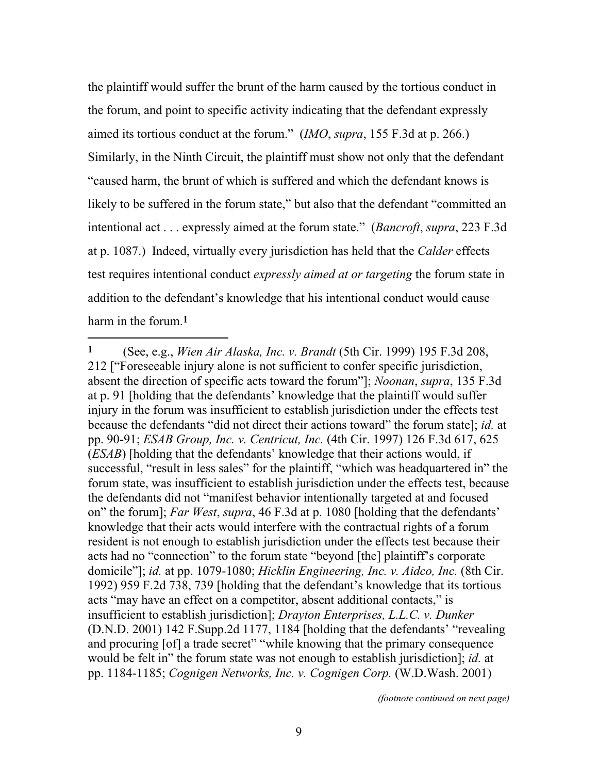the plaintiff would suffer the brunt of the harm caused by the tortious conduct in the forum, and point to specific activity indicating that the defendant expressly aimed its tortious conduct at the forum." (*IMO*, *supra*, 155 F.3d at p. 266.) Similarly, in the Ninth Circuit, the plaintiff must show not only that the defendant "caused harm, the brunt of which is suffered and which the defendant knows is likely to be suffered in the forum state," but also that the defendant "committed an intentional act . . . expressly aimed at the forum state." (*Bancroft*, *supra*, 223 F.3d at p. 1087.) Indeed, virtually every jurisdiction has held that the *Calder* effects test requires intentional conduct *expressly aimed at or targeting* the forum state in addition to the defendant's knowledge that his intentional conduct would cause harm in the forum.**1**

 $\overline{a}$ 

*(footnote continued on next page)* 

**<sup>1</sup>** (See, e.g., *Wien Air Alaska, Inc. v. Brandt* (5th Cir. 1999) 195 F.3d 208, 212 ["Foreseeable injury alone is not sufficient to confer specific jurisdiction, absent the direction of specific acts toward the forum"]; *Noonan*, *supra*, 135 F.3d at p. 91 [holding that the defendants' knowledge that the plaintiff would suffer injury in the forum was insufficient to establish jurisdiction under the effects test because the defendants "did not direct their actions toward" the forum state]; *id.* at pp. 90-91; *ESAB Group, Inc. v. Centricut, Inc.* (4th Cir. 1997) 126 F.3d 617, 625 (*ESAB*) [holding that the defendants' knowledge that their actions would, if successful, "result in less sales" for the plaintiff, "which was headquartered in" the forum state, was insufficient to establish jurisdiction under the effects test, because the defendants did not "manifest behavior intentionally targeted at and focused on" the forum]; *Far West*, *supra*, 46 F.3d at p. 1080 [holding that the defendants' knowledge that their acts would interfere with the contractual rights of a forum resident is not enough to establish jurisdiction under the effects test because their acts had no "connection" to the forum state "beyond [the] plaintiff's corporate domicile"]; *id.* at pp. 1079-1080; *Hicklin Engineering, Inc. v. Aidco, Inc.* (8th Cir. 1992) 959 F.2d 738, 739 [holding that the defendant's knowledge that its tortious acts "may have an effect on a competitor, absent additional contacts," is insufficient to establish jurisdiction]; *Drayton Enterprises, L.L.C. v. Dunker*  (D.N.D. 2001) 142 F.Supp.2d 1177, 1184 [holding that the defendants' "revealing and procuring [of] a trade secret" "while knowing that the primary consequence would be felt in" the forum state was not enough to establish jurisdiction]; *id.* at pp. 1184-1185; *Cognigen Networks, Inc. v. Cognigen Corp.* (W.D.Wash. 2001)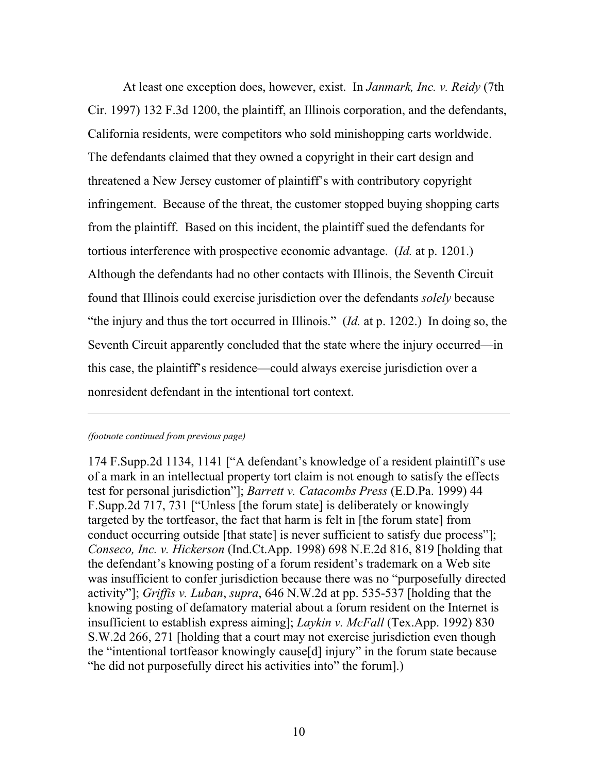At least one exception does, however, exist. In *Janmark, Inc. v. Reidy* (7th Cir. 1997) 132 F.3d 1200, the plaintiff, an Illinois corporation, and the defendants, California residents, were competitors who sold minishopping carts worldwide. The defendants claimed that they owned a copyright in their cart design and threatened a New Jersey customer of plaintiff's with contributory copyright infringement. Because of the threat, the customer stopped buying shopping carts from the plaintiff. Based on this incident, the plaintiff sued the defendants for tortious interference with prospective economic advantage. (*Id.* at p. 1201.) Although the defendants had no other contacts with Illinois, the Seventh Circuit found that Illinois could exercise jurisdiction over the defendants *solely* because "the injury and thus the tort occurred in Illinois." (*Id.* at p. 1202.) In doing so, the Seventh Circuit apparently concluded that the state where the injury occurred—in this case, the plaintiff's residence—could always exercise jurisdiction over a nonresident defendant in the intentional tort context.

### *(footnote continued from previous page)*

l

<sup>174</sup> F.Supp.2d 1134, 1141 ["A defendant's knowledge of a resident plaintiff's use of a mark in an intellectual property tort claim is not enough to satisfy the effects test for personal jurisdiction"]; *Barrett v. Catacombs Press* (E.D.Pa. 1999) 44 F.Supp.2d 717, 731 ["Unless [the forum state] is deliberately or knowingly targeted by the tortfeasor, the fact that harm is felt in [the forum state] from conduct occurring outside [that state] is never sufficient to satisfy due process"]; *Conseco, Inc. v. Hickerson* (Ind.Ct.App. 1998) 698 N.E.2d 816, 819 [holding that the defendant's knowing posting of a forum resident's trademark on a Web site was insufficient to confer jurisdiction because there was no "purposefully directed activity"]; *Griffis v. Luban*, *supra*, 646 N.W.2d at pp. 535-537 [holding that the knowing posting of defamatory material about a forum resident on the Internet is insufficient to establish express aiming]; *Laykin v. McFall* (Tex.App. 1992) 830 S.W.2d 266, 271 [holding that a court may not exercise jurisdiction even though the "intentional tortfeasor knowingly cause[d] injury" in the forum state because "he did not purposefully direct his activities into" the forum].)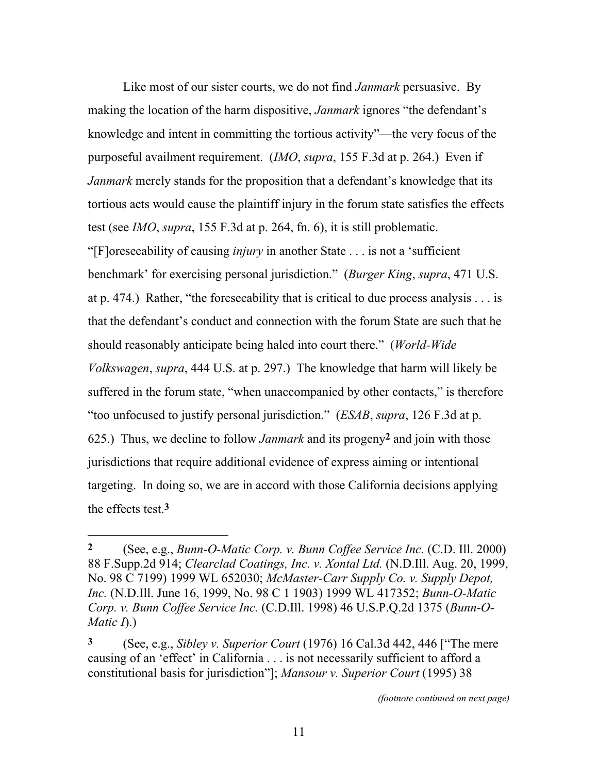Like most of our sister courts, we do not find *Janmark* persuasive. By making the location of the harm dispositive, *Janmark* ignores "the defendant's knowledge and intent in committing the tortious activity"—the very focus of the purposeful availment requirement. (*IMO*, *supra*, 155 F.3d at p. 264.) Even if *Janmark* merely stands for the proposition that a defendant's knowledge that its tortious acts would cause the plaintiff injury in the forum state satisfies the effects test (see *IMO*, *supra*, 155 F.3d at p. 264, fn. 6), it is still problematic. "[F]oreseeability of causing *injury* in another State . . . is not a 'sufficient benchmark' for exercising personal jurisdiction." (*Burger King*, *supra*, 471 U.S. at p. 474.) Rather, "the foreseeability that is critical to due process analysis . . . is that the defendant's conduct and connection with the forum State are such that he should reasonably anticipate being haled into court there." (*World-Wide Volkswagen*, *supra*, 444 U.S. at p. 297.) The knowledge that harm will likely be suffered in the forum state, "when unaccompanied by other contacts," is therefore "too unfocused to justify personal jurisdiction." (*ESAB*, *supra*, 126 F.3d at p. 625.) Thus, we decline to follow *Janmark* and its progeny**2** and join with those jurisdictions that require additional evidence of express aiming or intentional targeting. In doing so, we are in accord with those California decisions applying the effects test.**3**

*(footnote continued on next page)* 

**<sup>2</sup>** (See, e.g., *Bunn-O-Matic Corp. v. Bunn Coffee Service Inc.* (C.D. Ill. 2000) 88 F.Supp.2d 914; *Clearclad Coatings, Inc. v. Xontal Ltd.* (N.D.Ill. Aug. 20, 1999, No. 98 C 7199) 1999 WL 652030; *McMaster-Carr Supply Co. v. Supply Depot, Inc.* (N.D.Ill. June 16, 1999, No. 98 C 1 1903) 1999 WL 417352; *Bunn-O-Matic Corp. v. Bunn Coffee Service Inc.* (C.D.Ill. 1998) 46 U.S.P.Q.2d 1375 (*Bunn-O-Matic I*).)

**<sup>3</sup>** (See, e.g., *Sibley v. Superior Court* (1976) 16 Cal.3d 442, 446 ["The mere causing of an 'effect' in California . . . is not necessarily sufficient to afford a constitutional basis for jurisdiction"]; *Mansour v. Superior Court* (1995) 38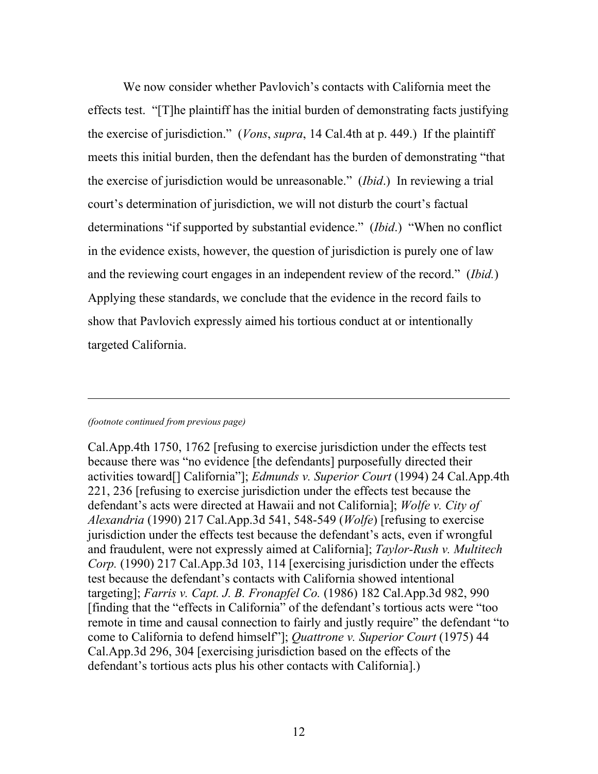We now consider whether Pavlovich's contacts with California meet the effects test. "[T]he plaintiff has the initial burden of demonstrating facts justifying the exercise of jurisdiction." (*Vons*, *supra*, 14 Cal.4th at p. 449.) If the plaintiff meets this initial burden, then the defendant has the burden of demonstrating "that the exercise of jurisdiction would be unreasonable." (*Ibid*.) In reviewing a trial court's determination of jurisdiction, we will not disturb the court's factual determinations "if supported by substantial evidence." (*Ibid*.) "When no conflict in the evidence exists, however, the question of jurisdiction is purely one of law and the reviewing court engages in an independent review of the record." (*Ibid.*) Applying these standards, we conclude that the evidence in the record fails to show that Pavlovich expressly aimed his tortious conduct at or intentionally targeted California.

### *(footnote continued from previous page)*

l

Cal.App.4th 1750, 1762 [refusing to exercise jurisdiction under the effects test because there was "no evidence [the defendants] purposefully directed their activities toward[] California"]; *Edmunds v. Superior Court* (1994) 24 Cal.App.4th 221, 236 [refusing to exercise jurisdiction under the effects test because the defendant's acts were directed at Hawaii and not California]; *Wolfe v. City of Alexandria* (1990) 217 Cal.App.3d 541, 548-549 (*Wolfe*) [refusing to exercise jurisdiction under the effects test because the defendant's acts, even if wrongful and fraudulent, were not expressly aimed at California]; *Taylor-Rush v. Multitech Corp.* (1990) 217 Cal.App.3d 103, 114 [exercising jurisdiction under the effects test because the defendant's contacts with California showed intentional targeting]; *Farris v. Capt. J. B. Fronapfel Co.* (1986) 182 Cal.App.3d 982, 990 [finding that the "effects in California" of the defendant's tortious acts were "too remote in time and causal connection to fairly and justly require" the defendant "to come to California to defend himself"]; *Quattrone v. Superior Court* (1975) 44 Cal.App.3d 296, 304 [exercising jurisdiction based on the effects of the defendant's tortious acts plus his other contacts with California].)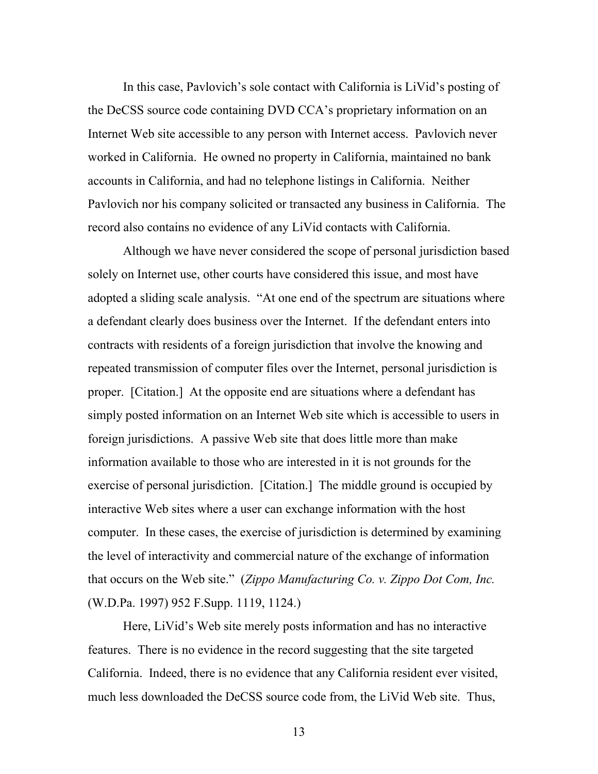In this case, Pavlovich's sole contact with California is LiVid's posting of the DeCSS source code containing DVD CCA's proprietary information on an Internet Web site accessible to any person with Internet access. Pavlovich never worked in California. He owned no property in California, maintained no bank accounts in California, and had no telephone listings in California. Neither Pavlovich nor his company solicited or transacted any business in California. The record also contains no evidence of any LiVid contacts with California.

Although we have never considered the scope of personal jurisdiction based solely on Internet use, other courts have considered this issue, and most have adopted a sliding scale analysis. "At one end of the spectrum are situations where a defendant clearly does business over the Internet. If the defendant enters into contracts with residents of a foreign jurisdiction that involve the knowing and repeated transmission of computer files over the Internet, personal jurisdiction is proper. [Citation.] At the opposite end are situations where a defendant has simply posted information on an Internet Web site which is accessible to users in foreign jurisdictions. A passive Web site that does little more than make information available to those who are interested in it is not grounds for the exercise of personal jurisdiction. [Citation.] The middle ground is occupied by interactive Web sites where a user can exchange information with the host computer. In these cases, the exercise of jurisdiction is determined by examining the level of interactivity and commercial nature of the exchange of information that occurs on the Web site." (*Zippo Manufacturing Co. v. Zippo Dot Com, Inc.* (W.D.Pa. 1997) 952 F.Supp. 1119, 1124.)

Here, LiVid's Web site merely posts information and has no interactive features. There is no evidence in the record suggesting that the site targeted California. Indeed, there is no evidence that any California resident ever visited, much less downloaded the DeCSS source code from, the LiVid Web site. Thus,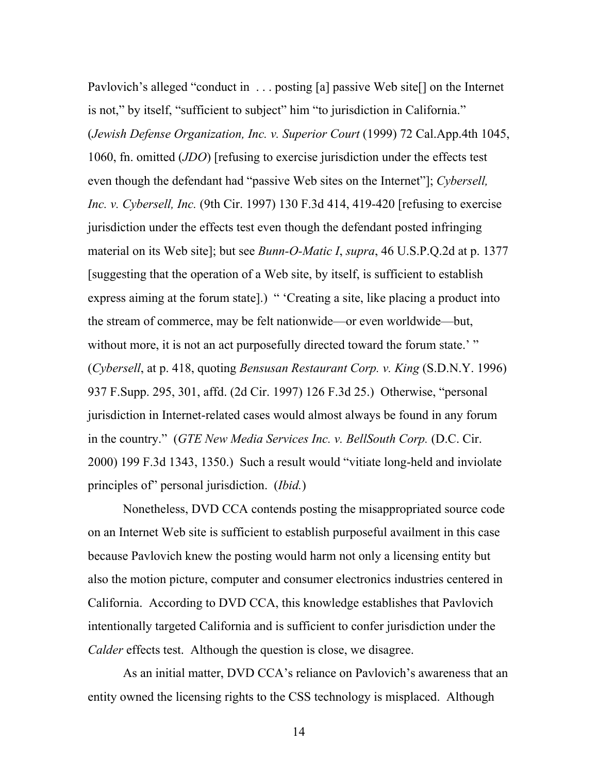Pavlovich's alleged "conduct in . . . posting [a] passive Web site[] on the Internet is not," by itself, "sufficient to subject" him "to jurisdiction in California." (*Jewish Defense Organization, Inc. v. Superior Court* (1999) 72 Cal.App.4th 1045, 1060, fn. omitted (*JDO*) [refusing to exercise jurisdiction under the effects test even though the defendant had "passive Web sites on the Internet"]; *Cybersell, Inc. v. Cybersell, Inc.* (9th Cir. 1997) 130 F.3d 414, 419-420 [refusing to exercise jurisdiction under the effects test even though the defendant posted infringing material on its Web site]; but see *Bunn-O-Matic I*, *supra*, 46 U.S.P.Q.2d at p. 1377 [suggesting that the operation of a Web site, by itself, is sufficient to establish express aiming at the forum state].) " 'Creating a site, like placing a product into the stream of commerce, may be felt nationwide—or even worldwide—but, without more, it is not an act purposefully directed toward the forum state.' " (*Cybersell*, at p. 418, quoting *Bensusan Restaurant Corp. v. King* (S.D.N.Y. 1996) 937 F.Supp. 295, 301, affd. (2d Cir. 1997) 126 F.3d 25.) Otherwise, "personal jurisdiction in Internet-related cases would almost always be found in any forum in the country." (*GTE New Media Services Inc. v. BellSouth Corp.* (D.C. Cir. 2000) 199 F.3d 1343, 1350.) Such a result would "vitiate long-held and inviolate principles of" personal jurisdiction. (*Ibid.*)

Nonetheless, DVD CCA contends posting the misappropriated source code on an Internet Web site is sufficient to establish purposeful availment in this case because Pavlovich knew the posting would harm not only a licensing entity but also the motion picture, computer and consumer electronics industries centered in California. According to DVD CCA, this knowledge establishes that Pavlovich intentionally targeted California and is sufficient to confer jurisdiction under the *Calder* effects test. Although the question is close, we disagree.

As an initial matter, DVD CCA's reliance on Pavlovich's awareness that an entity owned the licensing rights to the CSS technology is misplaced. Although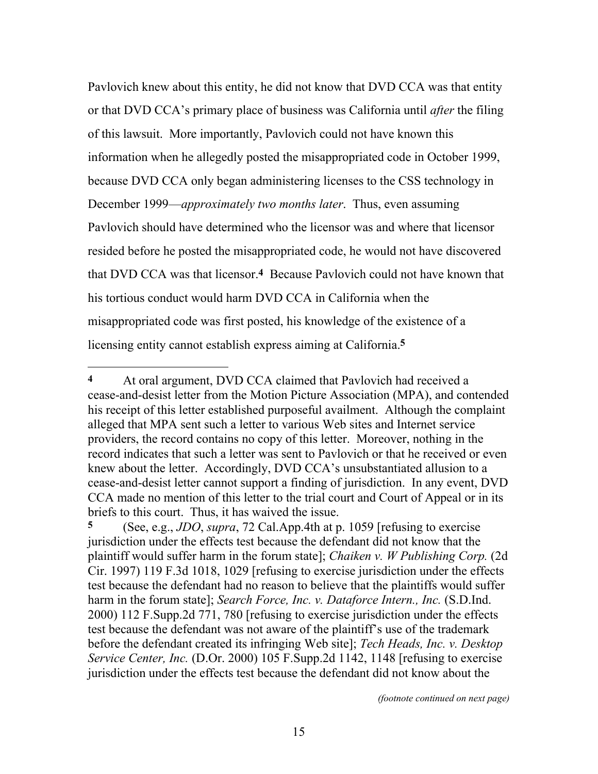Pavlovich knew about this entity, he did not know that DVD CCA was that entity or that DVD CCA's primary place of business was California until *after* the filing of this lawsuit. More importantly, Pavlovich could not have known this information when he allegedly posted the misappropriated code in October 1999, because DVD CCA only began administering licenses to the CSS technology in December 1999—*approximately two months later*. Thus, even assuming Pavlovich should have determined who the licensor was and where that licensor resided before he posted the misappropriated code, he would not have discovered that DVD CCA was that licensor.**4** Because Pavlovich could not have known that his tortious conduct would harm DVD CCA in California when the misappropriated code was first posted, his knowledge of the existence of a licensing entity cannot establish express aiming at California.**5**

 $\overline{a}$ 

**<sup>4</sup>** At oral argument, DVD CCA claimed that Pavlovich had received a cease-and-desist letter from the Motion Picture Association (MPA), and contended his receipt of this letter established purposeful availment. Although the complaint alleged that MPA sent such a letter to various Web sites and Internet service providers, the record contains no copy of this letter. Moreover, nothing in the record indicates that such a letter was sent to Pavlovich or that he received or even knew about the letter. Accordingly, DVD CCA's unsubstantiated allusion to a cease-and-desist letter cannot support a finding of jurisdiction. In any event, DVD CCA made no mention of this letter to the trial court and Court of Appeal or in its briefs to this court. Thus, it has waived the issue.

**<sup>5</sup>** (See, e.g., *JDO*, *supra*, 72 Cal.App.4th at p. 1059 [refusing to exercise jurisdiction under the effects test because the defendant did not know that the plaintiff would suffer harm in the forum state]; *Chaiken v. W Publishing Corp.* (2d Cir. 1997) 119 F.3d 1018, 1029 [refusing to exercise jurisdiction under the effects test because the defendant had no reason to believe that the plaintiffs would suffer harm in the forum state]; *Search Force, Inc. v. Dataforce Intern., Inc.* (S.D.Ind. 2000) 112 F.Supp.2d 771, 780 [refusing to exercise jurisdiction under the effects test because the defendant was not aware of the plaintiff's use of the trademark before the defendant created its infringing Web site]; *Tech Heads, Inc. v. Desktop Service Center, Inc.* (D.Or. 2000) 105 F.Supp.2d 1142, 1148 [refusing to exercise jurisdiction under the effects test because the defendant did not know about the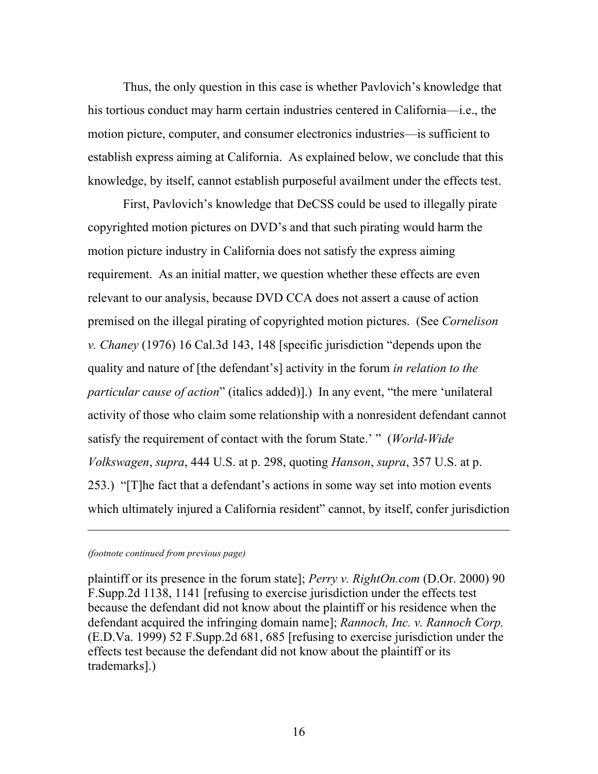Thus, the only question in this case is whether Pavlovich's knowledge that his tortious conduct may harm certain industries centered in California—i.e., the motion picture, computer, and consumer electronics industries—is sufficient to establish express aiming at California. As explained below, we conclude that this knowledge, by itself, cannot establish purposeful availment under the effects test.

First, Pavlovich's knowledge that DeCSS could be used to illegally pirate copyrighted motion pictures on DVD's and that such pirating would harm the motion picture industry in California does not satisfy the express aiming requirement. As an initial matter, we question whether these effects are even relevant to our analysis, because DVD CCA does not assert a cause of action premised on the illegal pirating of copyrighted motion pictures. (See *Cornelison v. Chaney* (1976) 16 Cal.3d 143, 148 [specific jurisdiction "depends upon the quality and nature of [the defendant's] activity in the forum *in relation to the particular cause of action*" (italics added)].) In any event, "the mere 'unilateral activity of those who claim some relationship with a nonresident defendant cannot satisfy the requirement of contact with the forum State.' " (*World-Wide Volkswagen*, *supra*, 444 U.S. at p. 298, quoting *Hanson*, *supra*, 357 U.S. at p. 253.) "[T]he fact that a defendant's actions in some way set into motion events which ultimately injured a California resident" cannot, by itself, confer jurisdiction

*(footnote continued from previous page)* 

l

plaintiff or its presence in the forum state]; *Perry v. RightOn.com* (D.Or. 2000) 90 F.Supp.2d 1138, 1141 [refusing to exercise jurisdiction under the effects test because the defendant did not know about the plaintiff or his residence when the defendant acquired the infringing domain name]; *Rannoch, Inc. v. Rannoch Corp.* (E.D.Va. 1999) 52 F.Supp.2d 681, 685 [refusing to exercise jurisdiction under the effects test because the defendant did not know about the plaintiff or its trademarks].)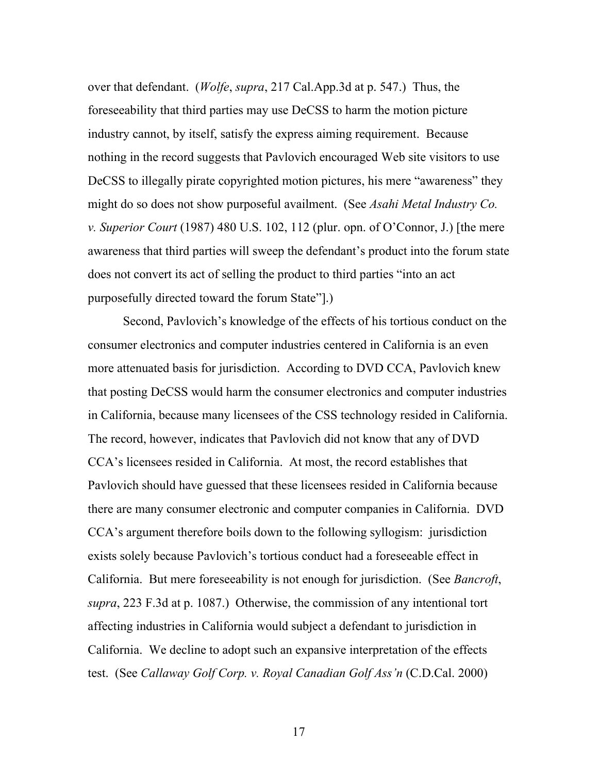over that defendant. (*Wolfe*, *supra*, 217 Cal.App.3d at p. 547.) Thus, the foreseeability that third parties may use DeCSS to harm the motion picture industry cannot, by itself, satisfy the express aiming requirement. Because nothing in the record suggests that Pavlovich encouraged Web site visitors to use DeCSS to illegally pirate copyrighted motion pictures, his mere "awareness" they might do so does not show purposeful availment. (See *Asahi Metal Industry Co. v. Superior Court* (1987) 480 U.S. 102, 112 (plur. opn. of O'Connor, J.) [the mere awareness that third parties will sweep the defendant's product into the forum state does not convert its act of selling the product to third parties "into an act purposefully directed toward the forum State"].)

Second, Pavlovich's knowledge of the effects of his tortious conduct on the consumer electronics and computer industries centered in California is an even more attenuated basis for jurisdiction. According to DVD CCA, Pavlovich knew that posting DeCSS would harm the consumer electronics and computer industries in California, because many licensees of the CSS technology resided in California. The record, however, indicates that Pavlovich did not know that any of DVD CCA's licensees resided in California. At most, the record establishes that Pavlovich should have guessed that these licensees resided in California because there are many consumer electronic and computer companies in California. DVD CCA's argument therefore boils down to the following syllogism: jurisdiction exists solely because Pavlovich's tortious conduct had a foreseeable effect in California. But mere foreseeability is not enough for jurisdiction. (See *Bancroft*, *supra*, 223 F.3d at p. 1087.) Otherwise, the commission of any intentional tort affecting industries in California would subject a defendant to jurisdiction in California. We decline to adopt such an expansive interpretation of the effects test. (See *Callaway Golf Corp. v. Royal Canadian Golf Ass'n* (C.D.Cal. 2000)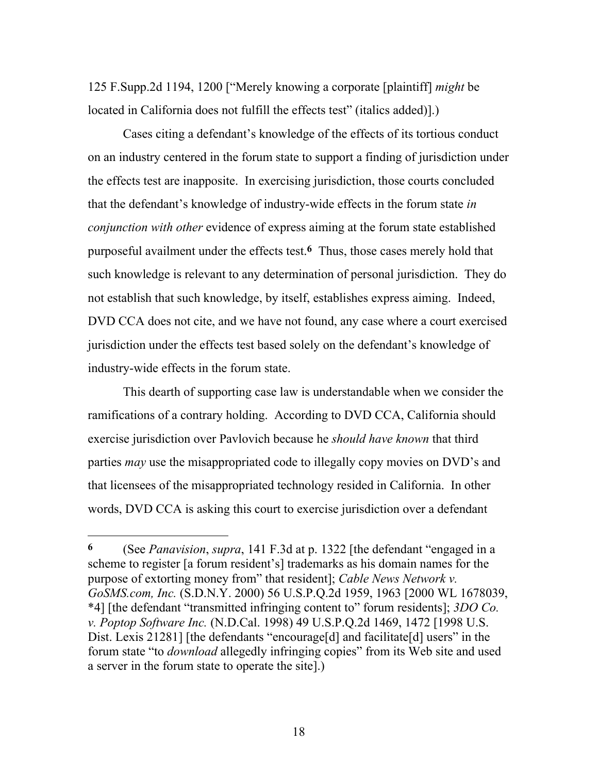125 F.Supp.2d 1194, 1200 ["Merely knowing a corporate [plaintiff] *might* be located in California does not fulfill the effects test" (italics added).

Cases citing a defendant's knowledge of the effects of its tortious conduct on an industry centered in the forum state to support a finding of jurisdiction under the effects test are inapposite. In exercising jurisdiction, those courts concluded that the defendant's knowledge of industry-wide effects in the forum state *in conjunction with other* evidence of express aiming at the forum state established purposeful availment under the effects test.**6** Thus, those cases merely hold that such knowledge is relevant to any determination of personal jurisdiction. They do not establish that such knowledge, by itself, establishes express aiming. Indeed, DVD CCA does not cite, and we have not found, any case where a court exercised jurisdiction under the effects test based solely on the defendant's knowledge of industry-wide effects in the forum state.

This dearth of supporting case law is understandable when we consider the ramifications of a contrary holding. According to DVD CCA, California should exercise jurisdiction over Pavlovich because he *should have known* that third parties *may* use the misappropriated code to illegally copy movies on DVD's and that licensees of the misappropriated technology resided in California. In other words, DVD CCA is asking this court to exercise jurisdiction over a defendant

 $\overline{a}$ 

**<sup>6</sup>** (See *Panavision*, *supra*, 141 F.3d at p. 1322 [the defendant "engaged in a scheme to register [a forum resident's] trademarks as his domain names for the purpose of extorting money from" that resident]; *Cable News Network v. GoSMS.com, Inc.* (S.D.N.Y. 2000) 56 U.S.P.Q.2d 1959, 1963 [2000 WL 1678039, \*4] [the defendant "transmitted infringing content to" forum residents]; *3DO Co. v. Poptop Software Inc.* (N.D.Cal. 1998) 49 U.S.P.Q.2d 1469, 1472 [1998 U.S. Dist. Lexis 21281] [the defendants "encourage[d] and facilitate[d] users" in the forum state "to *download* allegedly infringing copies" from its Web site and used a server in the forum state to operate the site].)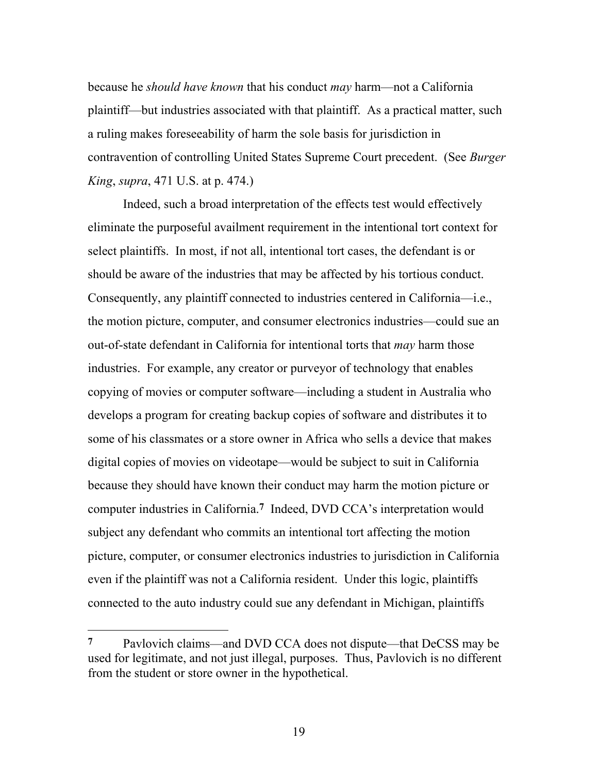because he *should have known* that his conduct *may* harm—not a California plaintiff—but industries associated with that plaintiff. As a practical matter, such a ruling makes foreseeability of harm the sole basis for jurisdiction in contravention of controlling United States Supreme Court precedent. (See *Burger King*, *supra*, 471 U.S. at p. 474.)

Indeed, such a broad interpretation of the effects test would effectively eliminate the purposeful availment requirement in the intentional tort context for select plaintiffs. In most, if not all, intentional tort cases, the defendant is or should be aware of the industries that may be affected by his tortious conduct. Consequently, any plaintiff connected to industries centered in California—i.e., the motion picture, computer, and consumer electronics industries—could sue an out-of-state defendant in California for intentional torts that *may* harm those industries. For example, any creator or purveyor of technology that enables copying of movies or computer software—including a student in Australia who develops a program for creating backup copies of software and distributes it to some of his classmates or a store owner in Africa who sells a device that makes digital copies of movies on videotape—would be subject to suit in California because they should have known their conduct may harm the motion picture or computer industries in California.**7** Indeed, DVD CCA's interpretation would subject any defendant who commits an intentional tort affecting the motion picture, computer, or consumer electronics industries to jurisdiction in California even if the plaintiff was not a California resident. Under this logic, plaintiffs connected to the auto industry could sue any defendant in Michigan, plaintiffs

 $\overline{a}$ 

**<sup>7</sup>** Pavlovich claims—and DVD CCA does not dispute—that DeCSS may be used for legitimate, and not just illegal, purposes. Thus, Pavlovich is no different from the student or store owner in the hypothetical.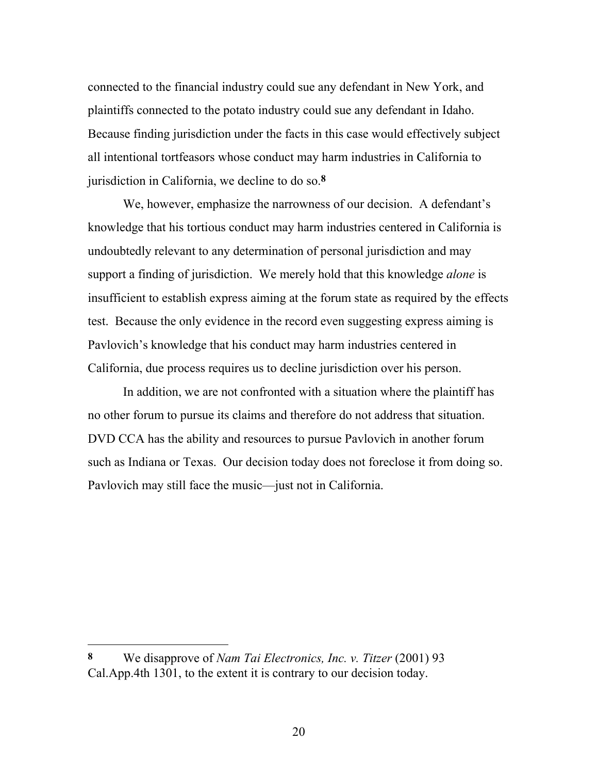connected to the financial industry could sue any defendant in New York, and plaintiffs connected to the potato industry could sue any defendant in Idaho. Because finding jurisdiction under the facts in this case would effectively subject all intentional tortfeasors whose conduct may harm industries in California to jurisdiction in California, we decline to do so.**8**

We, however, emphasize the narrowness of our decision. A defendant's knowledge that his tortious conduct may harm industries centered in California is undoubtedly relevant to any determination of personal jurisdiction and may support a finding of jurisdiction. We merely hold that this knowledge *alone* is insufficient to establish express aiming at the forum state as required by the effects test. Because the only evidence in the record even suggesting express aiming is Pavlovich's knowledge that his conduct may harm industries centered in California, due process requires us to decline jurisdiction over his person.

In addition, we are not confronted with a situation where the plaintiff has no other forum to pursue its claims and therefore do not address that situation. DVD CCA has the ability and resources to pursue Pavlovich in another forum such as Indiana or Texas. Our decision today does not foreclose it from doing so. Pavlovich may still face the music—just not in California.

 $\overline{a}$ 

**<sup>8</sup>** We disapprove of *Nam Tai Electronics, Inc. v. Titzer* (2001) 93 Cal.App.4th 1301, to the extent it is contrary to our decision today.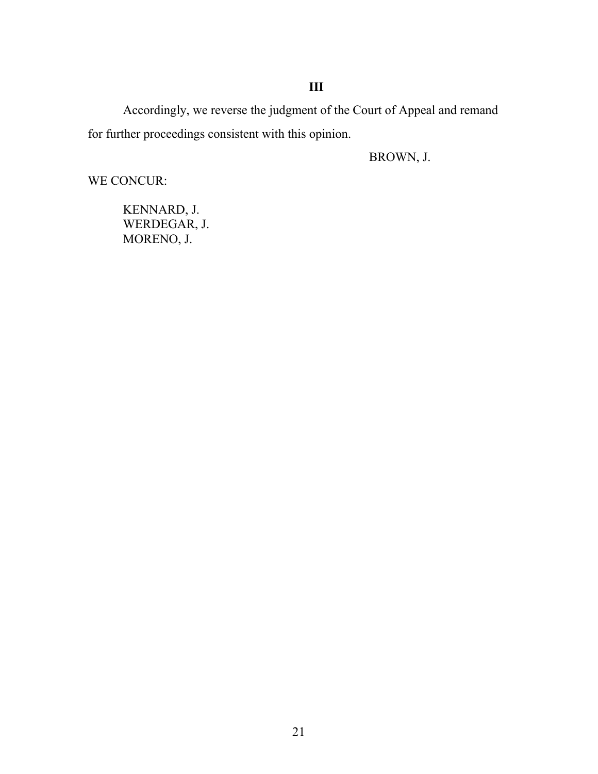Accordingly, we reverse the judgment of the Court of Appeal and remand for further proceedings consistent with this opinion.

BROWN, J.

WE CONCUR:

 KENNARD, J. WERDEGAR, J. MORENO, J.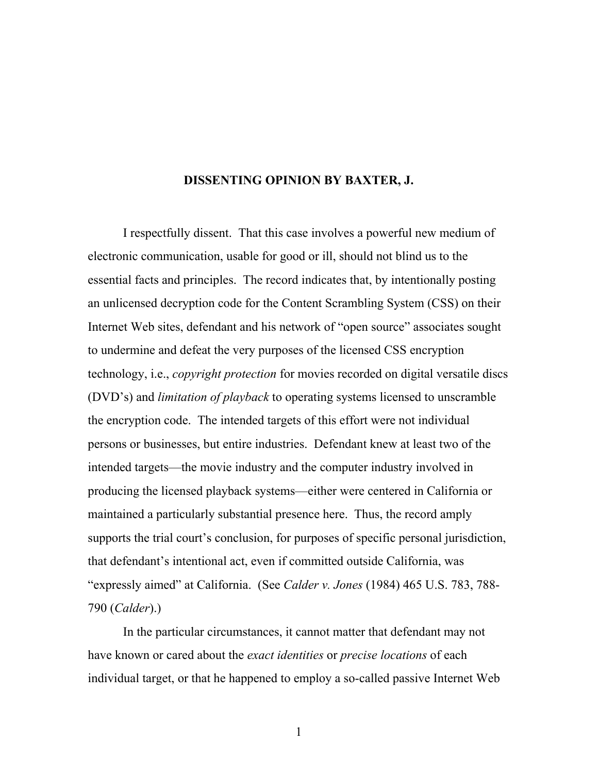## **DISSENTING OPINION BY BAXTER, J.**

I respectfully dissent. That this case involves a powerful new medium of electronic communication, usable for good or ill, should not blind us to the essential facts and principles. The record indicates that, by intentionally posting an unlicensed decryption code for the Content Scrambling System (CSS) on their Internet Web sites, defendant and his network of "open source" associates sought to undermine and defeat the very purposes of the licensed CSS encryption technology, i.e., *copyright protection* for movies recorded on digital versatile discs (DVD's) and *limitation of playback* to operating systems licensed to unscramble the encryption code. The intended targets of this effort were not individual persons or businesses, but entire industries. Defendant knew at least two of the intended targets—the movie industry and the computer industry involved in producing the licensed playback systems—either were centered in California or maintained a particularly substantial presence here. Thus, the record amply supports the trial court's conclusion, for purposes of specific personal jurisdiction, that defendant's intentional act, even if committed outside California, was "expressly aimed" at California. (See *Calder v. Jones* (1984) 465 U.S. 783, 788- 790 (*Calder*).)

In the particular circumstances, it cannot matter that defendant may not have known or cared about the *exact identities* or *precise locations* of each individual target, or that he happened to employ a so-called passive Internet Web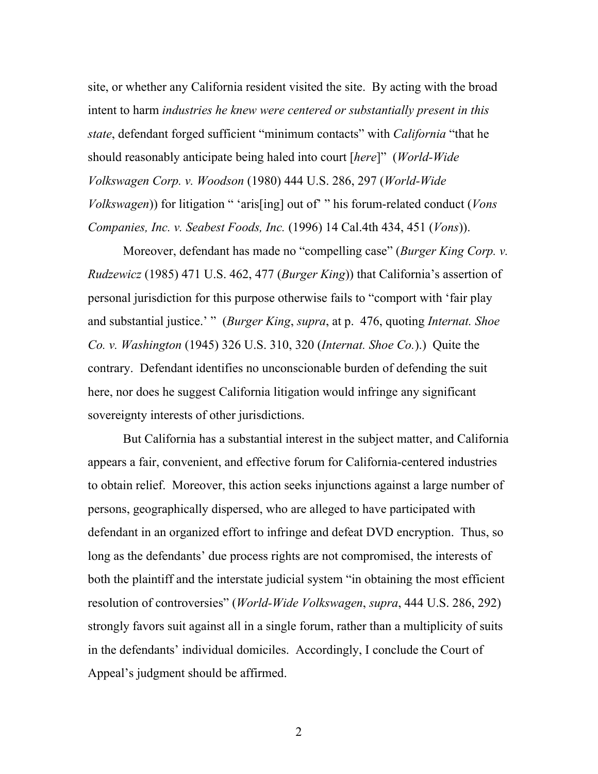site, or whether any California resident visited the site. By acting with the broad intent to harm *industries he knew were centered or substantially present in this state*, defendant forged sufficient "minimum contacts" with *California* "that he should reasonably anticipate being haled into court [*here*]" (*World-Wide Volkswagen Corp. v. Woodson* (1980) 444 U.S. 286, 297 (*World-Wide Volkswagen*)) for litigation " 'aris[ing] out of' " his forum-related conduct (*Vons Companies, Inc. v. Seabest Foods, Inc.* (1996) 14 Cal.4th 434, 451 (*Vons*)).

Moreover, defendant has made no "compelling case" (*Burger King Corp. v. Rudzewicz* (1985) 471 U.S. 462, 477 (*Burger King*)) that California's assertion of personal jurisdiction for this purpose otherwise fails to "comport with 'fair play and substantial justice.' " (*Burger King*, *supra*, at p. 476, quoting *Internat. Shoe Co. v. Washington* (1945) 326 U.S. 310, 320 (*Internat. Shoe Co.*).) Quite the contrary. Defendant identifies no unconscionable burden of defending the suit here, nor does he suggest California litigation would infringe any significant sovereignty interests of other jurisdictions.

But California has a substantial interest in the subject matter, and California appears a fair, convenient, and effective forum for California-centered industries to obtain relief. Moreover, this action seeks injunctions against a large number of persons, geographically dispersed, who are alleged to have participated with defendant in an organized effort to infringe and defeat DVD encryption. Thus, so long as the defendants' due process rights are not compromised, the interests of both the plaintiff and the interstate judicial system "in obtaining the most efficient resolution of controversies" (*World-Wide Volkswagen*, *supra*, 444 U.S. 286, 292) strongly favors suit against all in a single forum, rather than a multiplicity of suits in the defendants' individual domiciles. Accordingly, I conclude the Court of Appeal's judgment should be affirmed.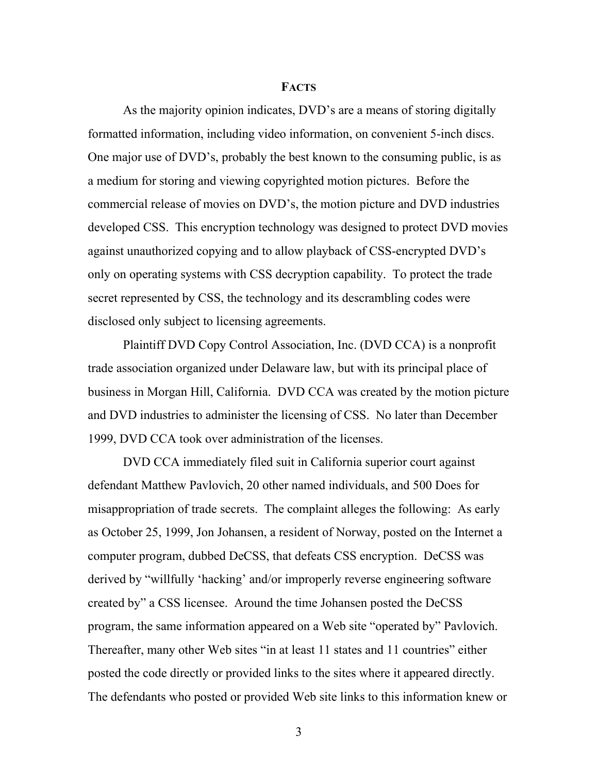# **FACTS**

As the majority opinion indicates, DVD's are a means of storing digitally formatted information, including video information, on convenient 5-inch discs. One major use of DVD's, probably the best known to the consuming public, is as a medium for storing and viewing copyrighted motion pictures. Before the commercial release of movies on DVD's, the motion picture and DVD industries developed CSS. This encryption technology was designed to protect DVD movies against unauthorized copying and to allow playback of CSS-encrypted DVD's only on operating systems with CSS decryption capability. To protect the trade secret represented by CSS, the technology and its descrambling codes were disclosed only subject to licensing agreements.

Plaintiff DVD Copy Control Association, Inc. (DVD CCA) is a nonprofit trade association organized under Delaware law, but with its principal place of business in Morgan Hill, California. DVD CCA was created by the motion picture and DVD industries to administer the licensing of CSS. No later than December 1999, DVD CCA took over administration of the licenses.

DVD CCA immediately filed suit in California superior court against defendant Matthew Pavlovich, 20 other named individuals, and 500 Does for misappropriation of trade secrets. The complaint alleges the following: As early as October 25, 1999, Jon Johansen, a resident of Norway, posted on the Internet a computer program, dubbed DeCSS, that defeats CSS encryption. DeCSS was derived by "willfully 'hacking' and/or improperly reverse engineering software created by" a CSS licensee. Around the time Johansen posted the DeCSS program, the same information appeared on a Web site "operated by" Pavlovich. Thereafter, many other Web sites "in at least 11 states and 11 countries" either posted the code directly or provided links to the sites where it appeared directly. The defendants who posted or provided Web site links to this information knew or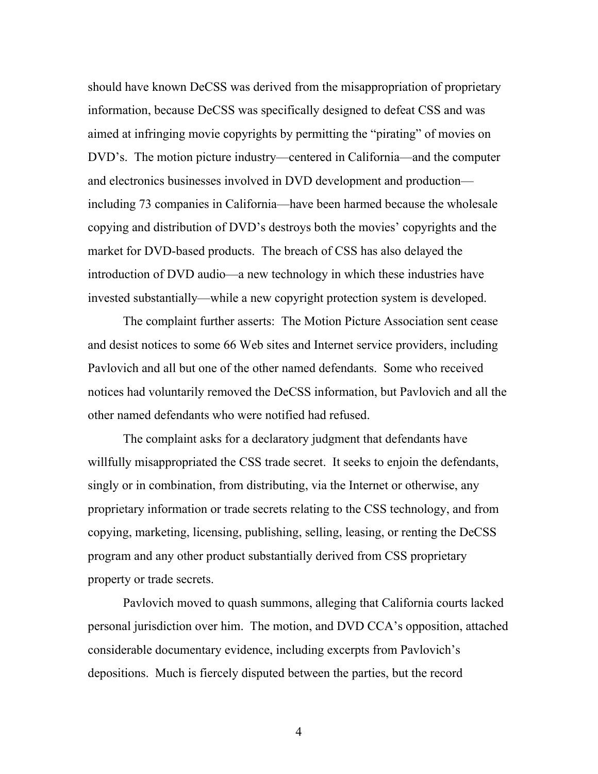should have known DeCSS was derived from the misappropriation of proprietary information, because DeCSS was specifically designed to defeat CSS and was aimed at infringing movie copyrights by permitting the "pirating" of movies on DVD's. The motion picture industry—centered in California—and the computer and electronics businesses involved in DVD development and production including 73 companies in California—have been harmed because the wholesale copying and distribution of DVD's destroys both the movies' copyrights and the market for DVD-based products. The breach of CSS has also delayed the introduction of DVD audio—a new technology in which these industries have invested substantially—while a new copyright protection system is developed.

The complaint further asserts: The Motion Picture Association sent cease and desist notices to some 66 Web sites and Internet service providers, including Pavlovich and all but one of the other named defendants. Some who received notices had voluntarily removed the DeCSS information, but Pavlovich and all the other named defendants who were notified had refused.

The complaint asks for a declaratory judgment that defendants have willfully misappropriated the CSS trade secret. It seeks to enjoin the defendants, singly or in combination, from distributing, via the Internet or otherwise, any proprietary information or trade secrets relating to the CSS technology, and from copying, marketing, licensing, publishing, selling, leasing, or renting the DeCSS program and any other product substantially derived from CSS proprietary property or trade secrets.

Pavlovich moved to quash summons, alleging that California courts lacked personal jurisdiction over him. The motion, and DVD CCA's opposition, attached considerable documentary evidence, including excerpts from Pavlovich's depositions. Much is fiercely disputed between the parties, but the record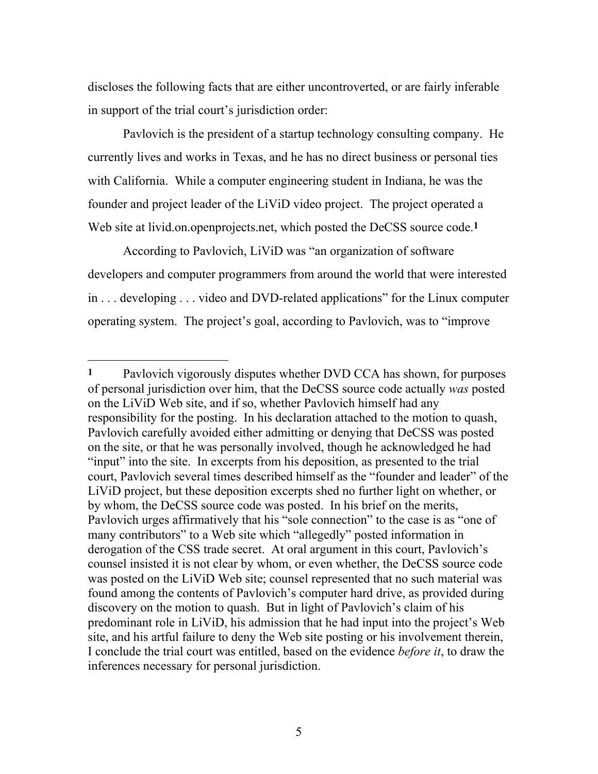discloses the following facts that are either uncontroverted, or are fairly inferable in support of the trial court's jurisdiction order:

Pavlovich is the president of a startup technology consulting company. He currently lives and works in Texas, and he has no direct business or personal ties with California. While a computer engineering student in Indiana, he was the founder and project leader of the LiViD video project. The project operated a Web site at livid.on.openprojects.net, which posted the DeCSS source code.**1**

According to Pavlovich, LiViD was "an organization of software developers and computer programmers from around the world that were interested in . . . developing . . . video and DVD-related applications" for the Linux computer operating system. The project's goal, according to Pavlovich, was to "improve

**<sup>1</sup>** Pavlovich vigorously disputes whether DVD CCA has shown, for purposes of personal jurisdiction over him, that the DeCSS source code actually *was* posted on the LiViD Web site, and if so, whether Pavlovich himself had any responsibility for the posting. In his declaration attached to the motion to quash, Pavlovich carefully avoided either admitting or denying that DeCSS was posted on the site, or that he was personally involved, though he acknowledged he had "input" into the site. In excerpts from his deposition, as presented to the trial court, Pavlovich several times described himself as the "founder and leader" of the LiViD project, but these deposition excerpts shed no further light on whether, or by whom, the DeCSS source code was posted. In his brief on the merits, Pavlovich urges affirmatively that his "sole connection" to the case is as "one of many contributors" to a Web site which "allegedly" posted information in derogation of the CSS trade secret. At oral argument in this court, Pavlovich's counsel insisted it is not clear by whom, or even whether, the DeCSS source code was posted on the LiViD Web site; counsel represented that no such material was found among the contents of Pavlovich's computer hard drive, as provided during discovery on the motion to quash. But in light of Pavlovich's claim of his predominant role in LiViD, his admission that he had input into the project's Web site, and his artful failure to deny the Web site posting or his involvement therein, I conclude the trial court was entitled, based on the evidence *before it*, to draw the inferences necessary for personal jurisdiction.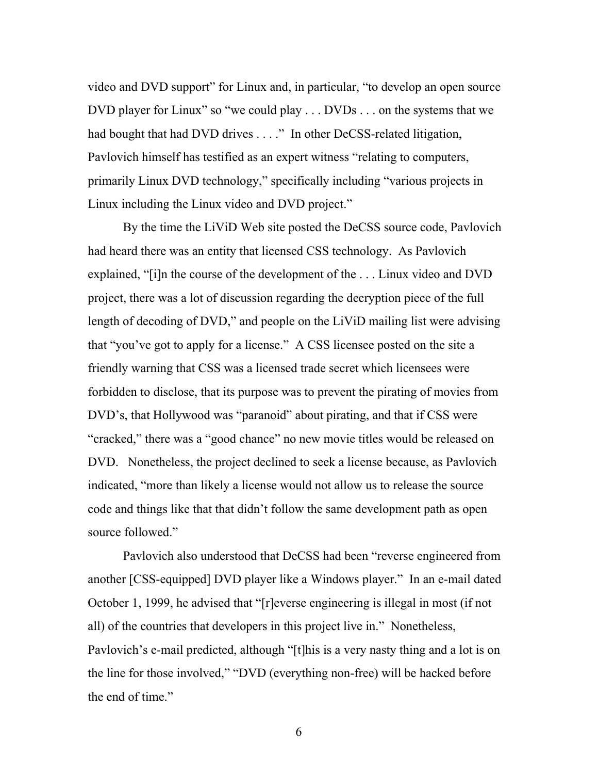video and DVD support" for Linux and, in particular, "to develop an open source DVD player for Linux" so "we could play . . . DVDs . . . on the systems that we had bought that had DVD drives . . . ." In other DeCSS-related litigation, Pavlovich himself has testified as an expert witness "relating to computers, primarily Linux DVD technology," specifically including "various projects in Linux including the Linux video and DVD project."

By the time the LiViD Web site posted the DeCSS source code, Pavlovich had heard there was an entity that licensed CSS technology. As Pavlovich explained, "[i]n the course of the development of the . . . Linux video and DVD project, there was a lot of discussion regarding the decryption piece of the full length of decoding of DVD," and people on the LiViD mailing list were advising that "you've got to apply for a license." A CSS licensee posted on the site a friendly warning that CSS was a licensed trade secret which licensees were forbidden to disclose, that its purpose was to prevent the pirating of movies from DVD's, that Hollywood was "paranoid" about pirating, and that if CSS were "cracked," there was a "good chance" no new movie titles would be released on DVD. Nonetheless, the project declined to seek a license because, as Pavlovich indicated, "more than likely a license would not allow us to release the source code and things like that that didn't follow the same development path as open source followed."

Pavlovich also understood that DeCSS had been "reverse engineered from another [CSS-equipped] DVD player like a Windows player." In an e-mail dated October 1, 1999, he advised that "[r]everse engineering is illegal in most (if not all) of the countries that developers in this project live in." Nonetheless, Pavlovich's e-mail predicted, although "[t]his is a very nasty thing and a lot is on the line for those involved," "DVD (everything non-free) will be hacked before the end of time."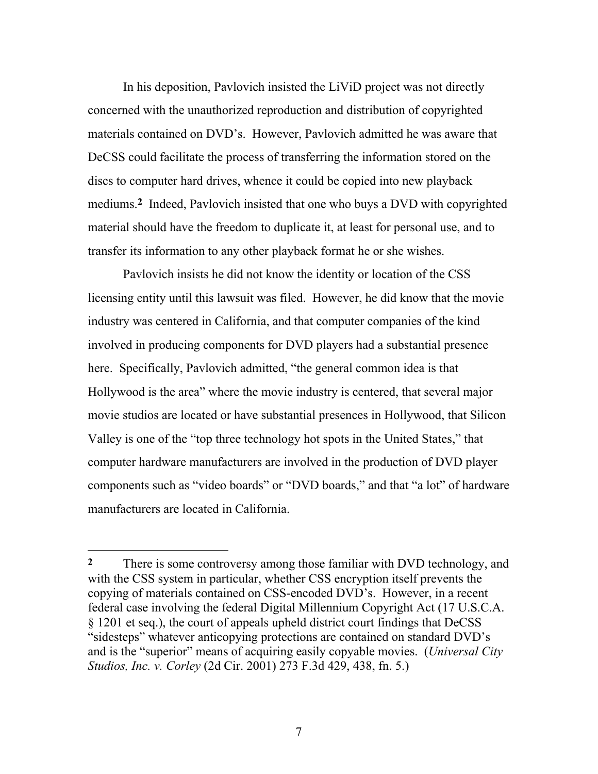In his deposition, Pavlovich insisted the LiViD project was not directly concerned with the unauthorized reproduction and distribution of copyrighted materials contained on DVD's. However, Pavlovich admitted he was aware that DeCSS could facilitate the process of transferring the information stored on the discs to computer hard drives, whence it could be copied into new playback mediums.**2** Indeed, Pavlovich insisted that one who buys a DVD with copyrighted material should have the freedom to duplicate it, at least for personal use, and to transfer its information to any other playback format he or she wishes.

Pavlovich insists he did not know the identity or location of the CSS licensing entity until this lawsuit was filed. However, he did know that the movie industry was centered in California, and that computer companies of the kind involved in producing components for DVD players had a substantial presence here. Specifically, Pavlovich admitted, "the general common idea is that Hollywood is the area" where the movie industry is centered, that several major movie studios are located or have substantial presences in Hollywood, that Silicon Valley is one of the "top three technology hot spots in the United States," that computer hardware manufacturers are involved in the production of DVD player components such as "video boards" or "DVD boards," and that "a lot" of hardware manufacturers are located in California.

 $\overline{a}$ 

**<sup>2</sup>** There is some controversy among those familiar with DVD technology, and with the CSS system in particular, whether CSS encryption itself prevents the copying of materials contained on CSS-encoded DVD's. However, in a recent federal case involving the federal Digital Millennium Copyright Act (17 U.S.C.A. § 1201 et seq.), the court of appeals upheld district court findings that DeCSS "sidesteps" whatever anticopying protections are contained on standard DVD's and is the "superior" means of acquiring easily copyable movies. (*Universal City Studios, Inc. v. Corley* (2d Cir. 2001) 273 F.3d 429, 438, fn. 5.)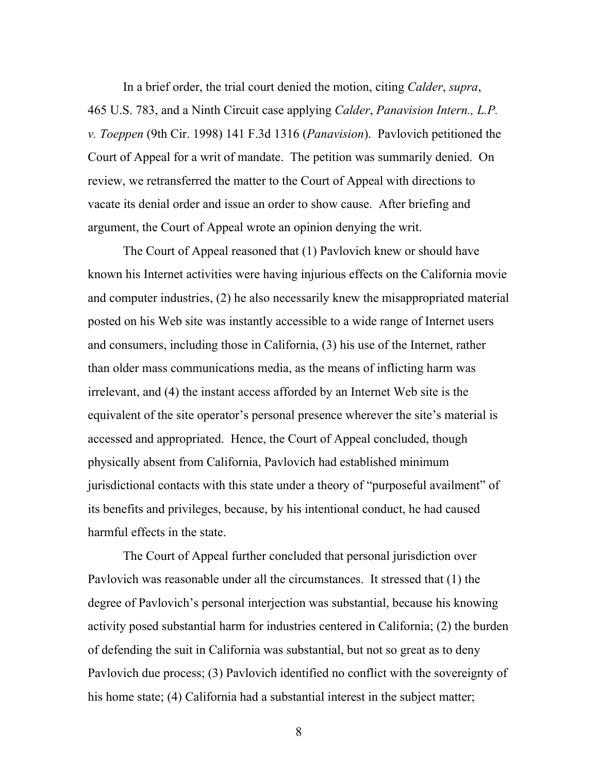In a brief order, the trial court denied the motion, citing *Calder*, *supra*, 465 U.S. 783, and a Ninth Circuit case applying *Calder*, *Panavision Intern., L.P. v. Toeppen* (9th Cir. 1998) 141 F.3d 1316 (*Panavision*). Pavlovich petitioned the Court of Appeal for a writ of mandate. The petition was summarily denied. On review, we retransferred the matter to the Court of Appeal with directions to vacate its denial order and issue an order to show cause. After briefing and argument, the Court of Appeal wrote an opinion denying the writ.

The Court of Appeal reasoned that (1) Pavlovich knew or should have known his Internet activities were having injurious effects on the California movie and computer industries, (2) he also necessarily knew the misappropriated material posted on his Web site was instantly accessible to a wide range of Internet users and consumers, including those in California, (3) his use of the Internet, rather than older mass communications media, as the means of inflicting harm was irrelevant, and (4) the instant access afforded by an Internet Web site is the equivalent of the site operator's personal presence wherever the site's material is accessed and appropriated. Hence, the Court of Appeal concluded, though physically absent from California, Pavlovich had established minimum jurisdictional contacts with this state under a theory of "purposeful availment" of its benefits and privileges, because, by his intentional conduct, he had caused harmful effects in the state.

The Court of Appeal further concluded that personal jurisdiction over Pavlovich was reasonable under all the circumstances. It stressed that (1) the degree of Pavlovich's personal interjection was substantial, because his knowing activity posed substantial harm for industries centered in California; (2) the burden of defending the suit in California was substantial, but not so great as to deny Pavlovich due process; (3) Pavlovich identified no conflict with the sovereignty of his home state; (4) California had a substantial interest in the subject matter;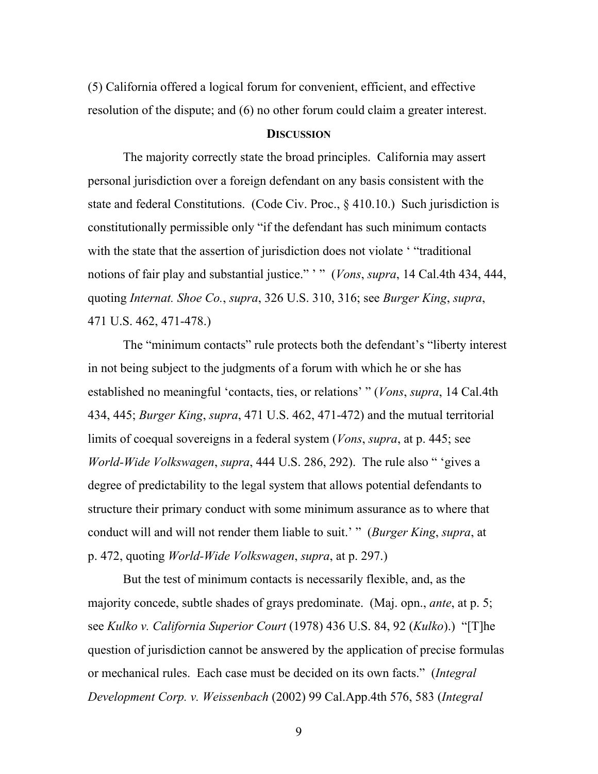(5) California offered a logical forum for convenient, efficient, and effective resolution of the dispute; and (6) no other forum could claim a greater interest.

# **DISCUSSION**

The majority correctly state the broad principles. California may assert personal jurisdiction over a foreign defendant on any basis consistent with the state and federal Constitutions. (Code Civ. Proc., § 410.10.) Such jurisdiction is constitutionally permissible only "if the defendant has such minimum contacts with the state that the assertion of jurisdiction does not violate '"traditional notions of fair play and substantial justice." ' " (*Vons*, *supra*, 14 Cal.4th 434, 444, quoting *Internat. Shoe Co.*, *supra*, 326 U.S. 310, 316; see *Burger King*, *supra*, 471 U.S. 462, 471-478.)

The "minimum contacts" rule protects both the defendant's "liberty interest in not being subject to the judgments of a forum with which he or she has established no meaningful 'contacts, ties, or relations' " (*Vons*, *supra*, 14 Cal.4th 434, 445; *Burger King*, *supra*, 471 U.S. 462, 471-472) and the mutual territorial limits of coequal sovereigns in a federal system (*Vons*, *supra*, at p. 445; see *World-Wide Volkswagen*, *supra*, 444 U.S. 286, 292). The rule also " 'gives a degree of predictability to the legal system that allows potential defendants to structure their primary conduct with some minimum assurance as to where that conduct will and will not render them liable to suit.' " (*Burger King*, *supra*, at p. 472, quoting *World-Wide Volkswagen*, *supra*, at p. 297.)

But the test of minimum contacts is necessarily flexible, and, as the majority concede, subtle shades of grays predominate. (Maj. opn., *ante*, at p. 5; see *Kulko v. California Superior Court* (1978) 436 U.S. 84, 92 (*Kulko*).) "[T]he question of jurisdiction cannot be answered by the application of precise formulas or mechanical rules. Each case must be decided on its own facts." (*Integral Development Corp. v. Weissenbach* (2002) 99 Cal.App.4th 576, 583 (*Integral*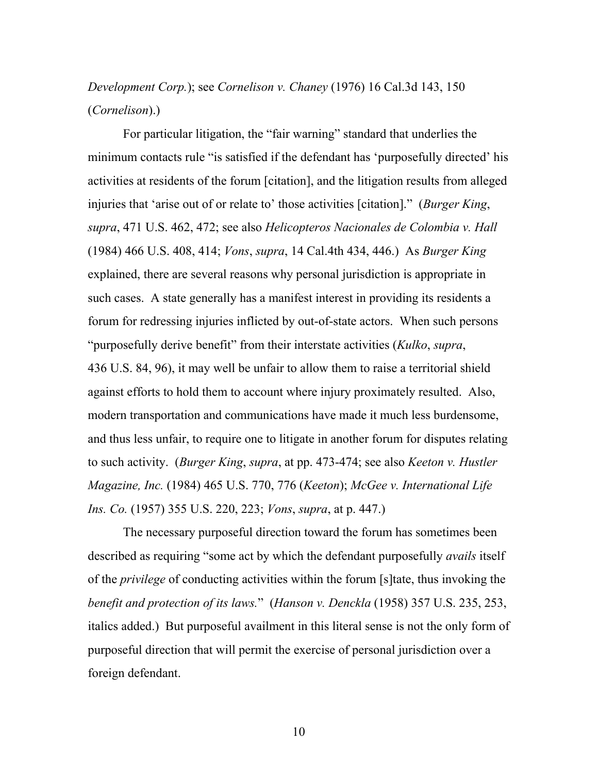# *Development Corp.*); see *Cornelison v. Chaney* (1976) 16 Cal.3d 143, 150 (*Cornelison*).)

For particular litigation, the "fair warning" standard that underlies the minimum contacts rule "is satisfied if the defendant has 'purposefully directed' his activities at residents of the forum [citation], and the litigation results from alleged injuries that 'arise out of or relate to' those activities [citation]." (*Burger King*, *supra*, 471 U.S. 462, 472; see also *Helicopteros Nacionales de Colombia v. Hall* (1984) 466 U.S. 408, 414; *Vons*, *supra*, 14 Cal.4th 434, 446.) As *Burger King* explained, there are several reasons why personal jurisdiction is appropriate in such cases. A state generally has a manifest interest in providing its residents a forum for redressing injuries inflicted by out-of-state actors. When such persons "purposefully derive benefit" from their interstate activities (*Kulko*, *supra*, 436 U.S. 84, 96), it may well be unfair to allow them to raise a territorial shield against efforts to hold them to account where injury proximately resulted. Also, modern transportation and communications have made it much less burdensome, and thus less unfair, to require one to litigate in another forum for disputes relating to such activity. (*Burger King*, *supra*, at pp. 473-474; see also *Keeton v. Hustler Magazine, Inc.* (1984) 465 U.S. 770, 776 (*Keeton*); *McGee v. International Life Ins. Co.* (1957) 355 U.S. 220, 223; *Vons*, *supra*, at p. 447.)

The necessary purposeful direction toward the forum has sometimes been described as requiring "some act by which the defendant purposefully *avails* itself of the *privilege* of conducting activities within the forum [s]tate, thus invoking the *benefit and protection of its laws.*" (*Hanson v. Denckla* (1958) 357 U.S. 235, 253, italics added.) But purposeful availment in this literal sense is not the only form of purposeful direction that will permit the exercise of personal jurisdiction over a foreign defendant.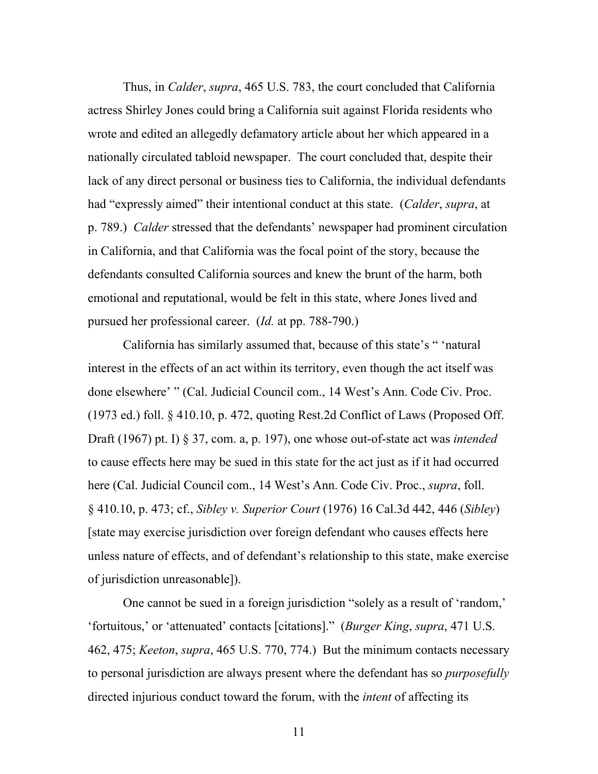Thus, in *Calder*, *supra*, 465 U.S. 783, the court concluded that California actress Shirley Jones could bring a California suit against Florida residents who wrote and edited an allegedly defamatory article about her which appeared in a nationally circulated tabloid newspaper. The court concluded that, despite their lack of any direct personal or business ties to California, the individual defendants had "expressly aimed" their intentional conduct at this state. (*Calder*, *supra*, at p. 789.) *Calder* stressed that the defendants' newspaper had prominent circulation in California, and that California was the focal point of the story, because the defendants consulted California sources and knew the brunt of the harm, both emotional and reputational, would be felt in this state, where Jones lived and pursued her professional career. (*Id.* at pp. 788-790.)

California has similarly assumed that, because of this state's " 'natural interest in the effects of an act within its territory, even though the act itself was done elsewhere' " (Cal. Judicial Council com., 14 West's Ann. Code Civ. Proc. (1973 ed.) foll. § 410.10, p. 472, quoting Rest.2d Conflict of Laws (Proposed Off. Draft (1967) pt. I) § 37, com. a, p. 197), one whose out-of-state act was *intended* to cause effects here may be sued in this state for the act just as if it had occurred here (Cal. Judicial Council com., 14 West's Ann. Code Civ. Proc., *supra*, foll. § 410.10, p. 473; cf., *Sibley v. Superior Court* (1976) 16 Cal.3d 442, 446 (*Sibley*) [state may exercise jurisdiction over foreign defendant who causes effects here unless nature of effects, and of defendant's relationship to this state, make exercise of jurisdiction unreasonable]).

One cannot be sued in a foreign jurisdiction "solely as a result of 'random,' 'fortuitous,' or 'attenuated' contacts [citations]." (*Burger King*, *supra*, 471 U.S. 462, 475; *Keeton*, *supra*, 465 U.S. 770, 774.) But the minimum contacts necessary to personal jurisdiction are always present where the defendant has so *purposefully* directed injurious conduct toward the forum, with the *intent* of affecting its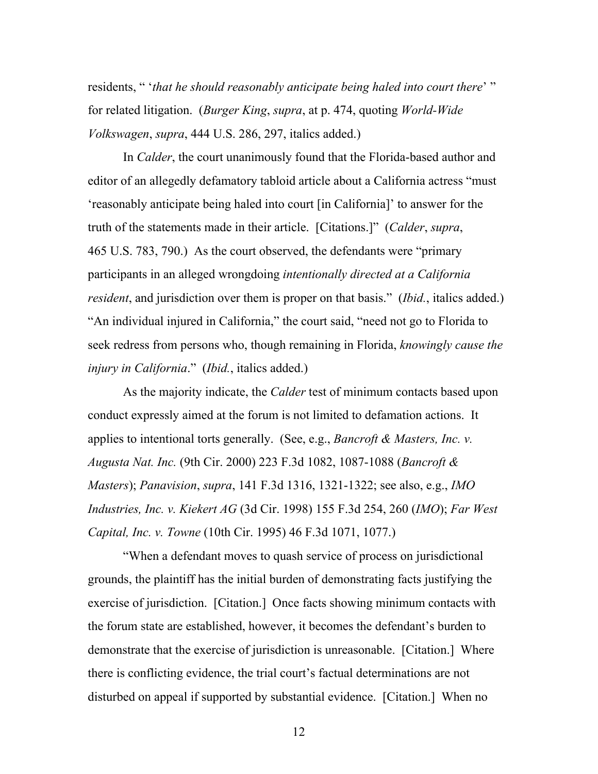residents, " '*that he should reasonably anticipate being haled into court there*' " for related litigation. (*Burger King*, *supra*, at p. 474, quoting *World-Wide Volkswagen*, *supra*, 444 U.S. 286, 297, italics added.)

In *Calder*, the court unanimously found that the Florida-based author and editor of an allegedly defamatory tabloid article about a California actress "must 'reasonably anticipate being haled into court [in California]' to answer for the truth of the statements made in their article. [Citations.]" (*Calder*, *supra*, 465 U.S. 783, 790.) As the court observed, the defendants were "primary participants in an alleged wrongdoing *intentionally directed at a California resident*, and jurisdiction over them is proper on that basis." (*Ibid.*, italics added.) "An individual injured in California," the court said, "need not go to Florida to seek redress from persons who, though remaining in Florida, *knowingly cause the injury in California*." (*Ibid.*, italics added.)

As the majority indicate, the *Calder* test of minimum contacts based upon conduct expressly aimed at the forum is not limited to defamation actions. It applies to intentional torts generally. (See, e.g., *Bancroft & Masters, Inc. v. Augusta Nat. Inc.* (9th Cir. 2000) 223 F.3d 1082, 1087-1088 (*Bancroft & Masters*); *Panavision*, *supra*, 141 F.3d 1316, 1321-1322; see also, e.g., *IMO Industries, Inc. v. Kiekert AG* (3d Cir. 1998) 155 F.3d 254, 260 (*IMO*); *Far West Capital, Inc. v. Towne* (10th Cir. 1995) 46 F.3d 1071, 1077.)

"When a defendant moves to quash service of process on jurisdictional grounds, the plaintiff has the initial burden of demonstrating facts justifying the exercise of jurisdiction. [Citation.] Once facts showing minimum contacts with the forum state are established, however, it becomes the defendant's burden to demonstrate that the exercise of jurisdiction is unreasonable. [Citation.] Where there is conflicting evidence, the trial court's factual determinations are not disturbed on appeal if supported by substantial evidence. [Citation.] When no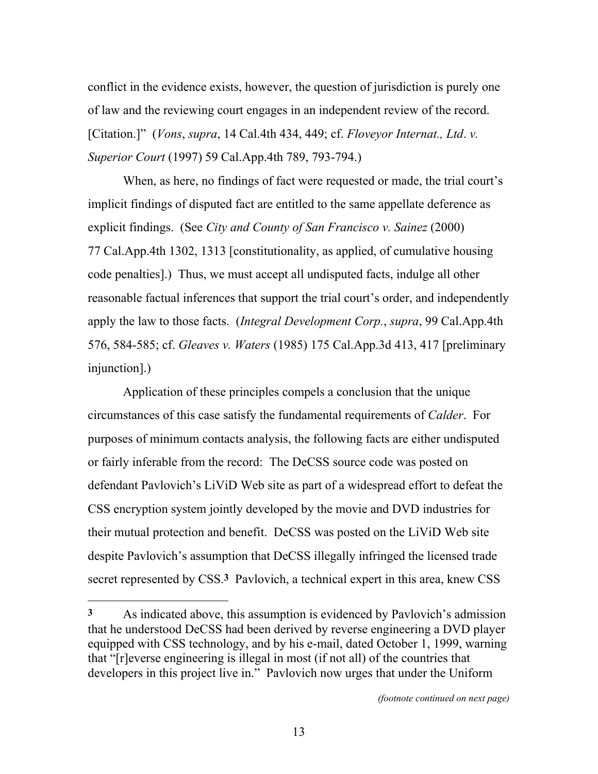conflict in the evidence exists, however, the question of jurisdiction is purely one of law and the reviewing court engages in an independent review of the record. [Citation.]" (*Vons*, *supra*, 14 Cal.4th 434, 449; cf. *Floveyor Internat., Ltd*. *v. Superior Court* (1997) 59 Cal.App.4th 789, 793-794.)

When, as here, no findings of fact were requested or made, the trial court's implicit findings of disputed fact are entitled to the same appellate deference as explicit findings. (See *City and County of San Francisco v. Sainez* (2000) 77 Cal.App.4th 1302, 1313 [constitutionality, as applied, of cumulative housing code penalties].) Thus, we must accept all undisputed facts, indulge all other reasonable factual inferences that support the trial court's order, and independently apply the law to those facts. (*Integral Development Corp.*, *supra*, 99 Cal.App.4th 576, 584-585; cf. *Gleaves v. Waters* (1985) 175 Cal.App.3d 413, 417 [preliminary injunction].)

Application of these principles compels a conclusion that the unique circumstances of this case satisfy the fundamental requirements of *Calder*. For purposes of minimum contacts analysis, the following facts are either undisputed or fairly inferable from the record: The DeCSS source code was posted on defendant Pavlovich's LiViD Web site as part of a widespread effort to defeat the CSS encryption system jointly developed by the movie and DVD industries for their mutual protection and benefit. DeCSS was posted on the LiViD Web site despite Pavlovich's assumption that DeCSS illegally infringed the licensed trade secret represented by CSS.**3** Pavlovich, a technical expert in this area, knew CSS

 $\overline{a}$ 

**<sup>3</sup>** As indicated above, this assumption is evidenced by Pavlovich's admission that he understood DeCSS had been derived by reverse engineering a DVD player equipped with CSS technology, and by his e-mail, dated October 1, 1999, warning that "[r]everse engineering is illegal in most (if not all) of the countries that developers in this project live in." Pavlovich now urges that under the Uniform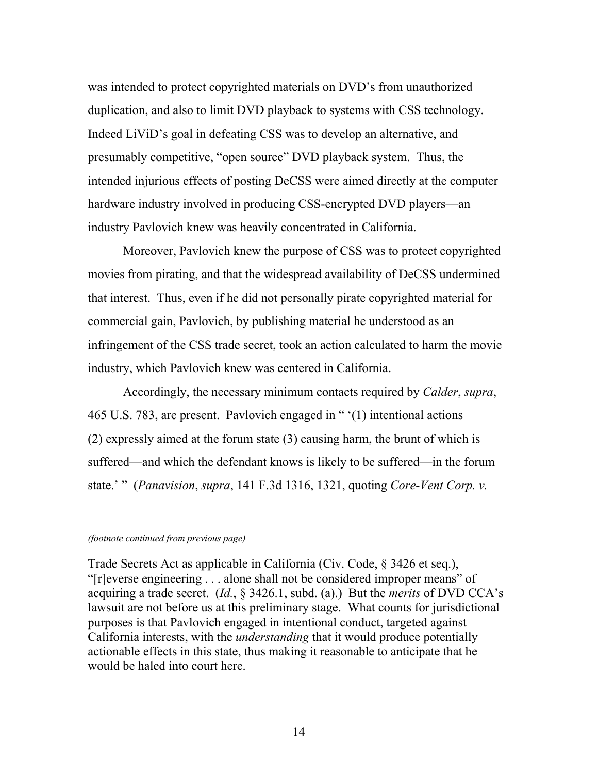was intended to protect copyrighted materials on DVD's from unauthorized duplication, and also to limit DVD playback to systems with CSS technology. Indeed LiViD's goal in defeating CSS was to develop an alternative, and presumably competitive, "open source" DVD playback system. Thus, the intended injurious effects of posting DeCSS were aimed directly at the computer hardware industry involved in producing CSS-encrypted DVD players—an industry Pavlovich knew was heavily concentrated in California.

Moreover, Pavlovich knew the purpose of CSS was to protect copyrighted movies from pirating, and that the widespread availability of DeCSS undermined that interest. Thus, even if he did not personally pirate copyrighted material for commercial gain, Pavlovich, by publishing material he understood as an infringement of the CSS trade secret, took an action calculated to harm the movie industry, which Pavlovich knew was centered in California.

Accordingly, the necessary minimum contacts required by *Calder*, *supra*, 465 U.S. 783, are present. Pavlovich engaged in " '(1) intentional actions (2) expressly aimed at the forum state (3) causing harm, the brunt of which is suffered—and which the defendant knows is likely to be suffered—in the forum state.' " (*Panavision*, *supra*, 141 F.3d 1316, 1321, quoting *Core-Vent Corp. v.* 

### *(footnote continued from previous page)*

l

Trade Secrets Act as applicable in California (Civ. Code, § 3426 et seq.), "[r]everse engineering . . . alone shall not be considered improper means" of acquiring a trade secret. (*Id.*, § 3426.1, subd. (a).) But the *merits* of DVD CCA's lawsuit are not before us at this preliminary stage. What counts for jurisdictional purposes is that Pavlovich engaged in intentional conduct, targeted against California interests, with the *understanding* that it would produce potentially actionable effects in this state, thus making it reasonable to anticipate that he would be haled into court here.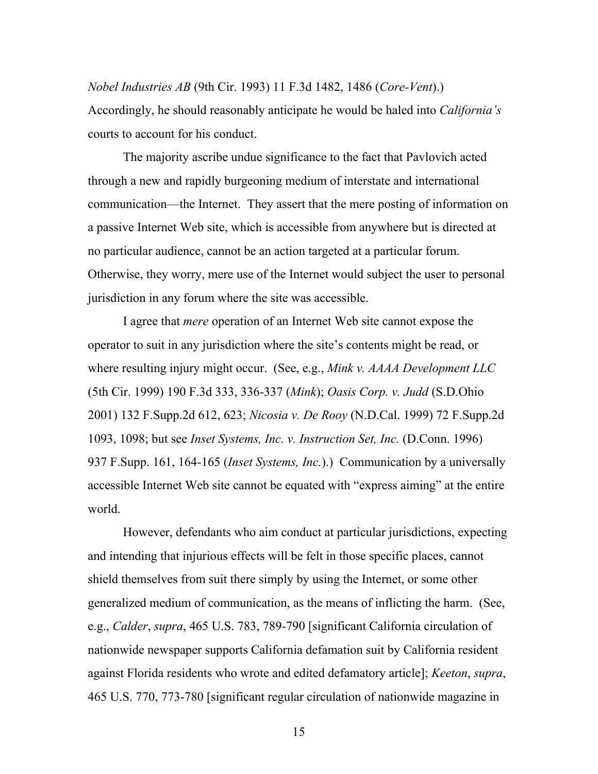*Nobel Industries AB* (9th Cir. 1993) 11 F.3d 1482, 1486 (*Core-Vent*).) Accordingly, he should reasonably anticipate he would be haled into *California's*  courts to account for his conduct.

The majority ascribe undue significance to the fact that Pavlovich acted through a new and rapidly burgeoning medium of interstate and international communication—the Internet. They assert that the mere posting of information on a passive Internet Web site, which is accessible from anywhere but is directed at no particular audience, cannot be an action targeted at a particular forum. Otherwise, they worry, mere use of the Internet would subject the user to personal jurisdiction in any forum where the site was accessible.

I agree that *mere* operation of an Internet Web site cannot expose the operator to suit in any jurisdiction where the site's contents might be read, or where resulting injury might occur. (See, e.g., *Mink v. AAAA Development LLC* (5th Cir. 1999) 190 F.3d 333, 336-337 (*Mink*); *Oasis Corp. v. Judd* (S.D.Ohio 2001) 132 F.Supp.2d 612, 623; *Nicosia v. De Rooy* (N.D.Cal. 1999) 72 F.Supp.2d 1093, 1098; but see *Inset Systems, Inc. v. Instruction Set, Inc.* (D.Conn. 1996) 937 F.Supp. 161, 164-165 (*Inset Systems, Inc.*).) Communication by a universally accessible Internet Web site cannot be equated with "express aiming" at the entire world.

However, defendants who aim conduct at particular jurisdictions, expecting and intending that injurious effects will be felt in those specific places, cannot shield themselves from suit there simply by using the Internet, or some other generalized medium of communication, as the means of inflicting the harm. (See, e.g., *Calder*, *supra*, 465 U.S. 783, 789-790 [significant California circulation of nationwide newspaper supports California defamation suit by California resident against Florida residents who wrote and edited defamatory article]; *Keeton*, *supra*, 465 U.S. 770, 773-780 [significant regular circulation of nationwide magazine in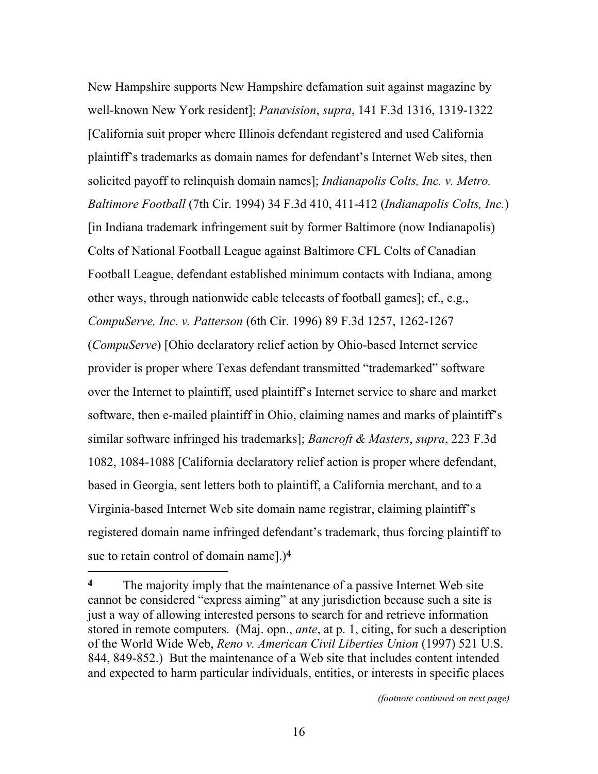New Hampshire supports New Hampshire defamation suit against magazine by well-known New York resident]; *Panavision*, *supra*, 141 F.3d 1316, 1319-1322 [California suit proper where Illinois defendant registered and used California plaintiff's trademarks as domain names for defendant's Internet Web sites, then solicited payoff to relinquish domain names]; *Indianapolis Colts, Inc. v. Metro. Baltimore Football* (7th Cir. 1994) 34 F.3d 410, 411-412 (*Indianapolis Colts, Inc.*) [in Indiana trademark infringement suit by former Baltimore (now Indianapolis) Colts of National Football League against Baltimore CFL Colts of Canadian Football League, defendant established minimum contacts with Indiana, among other ways, through nationwide cable telecasts of football games]; cf., e.g., *CompuServe, Inc. v. Patterson* (6th Cir. 1996) 89 F.3d 1257, 1262-1267 (*CompuServe*) [Ohio declaratory relief action by Ohio-based Internet service provider is proper where Texas defendant transmitted "trademarked" software over the Internet to plaintiff, used plaintiff's Internet service to share and market software, then e-mailed plaintiff in Ohio, claiming names and marks of plaintiff's similar software infringed his trademarks]; *Bancroft & Masters*, *supra*, 223 F.3d 1082, 1084-1088 [California declaratory relief action is proper where defendant, based in Georgia, sent letters both to plaintiff, a California merchant, and to a Virginia-based Internet Web site domain name registrar, claiming plaintiff's registered domain name infringed defendant's trademark, thus forcing plaintiff to sue to retain control of domain name].)**4**

 $\overline{a}$ 

*(footnote continued on next page)* 

<sup>&</sup>lt;sup>4</sup> The majority imply that the maintenance of a passive Internet Web site cannot be considered "express aiming" at any jurisdiction because such a site is just a way of allowing interested persons to search for and retrieve information stored in remote computers. (Maj. opn., *ante*, at p. 1, citing, for such a description of the World Wide Web, *Reno v. American Civil Liberties Union* (1997) 521 U.S. 844, 849-852.) But the maintenance of a Web site that includes content intended and expected to harm particular individuals, entities, or interests in specific places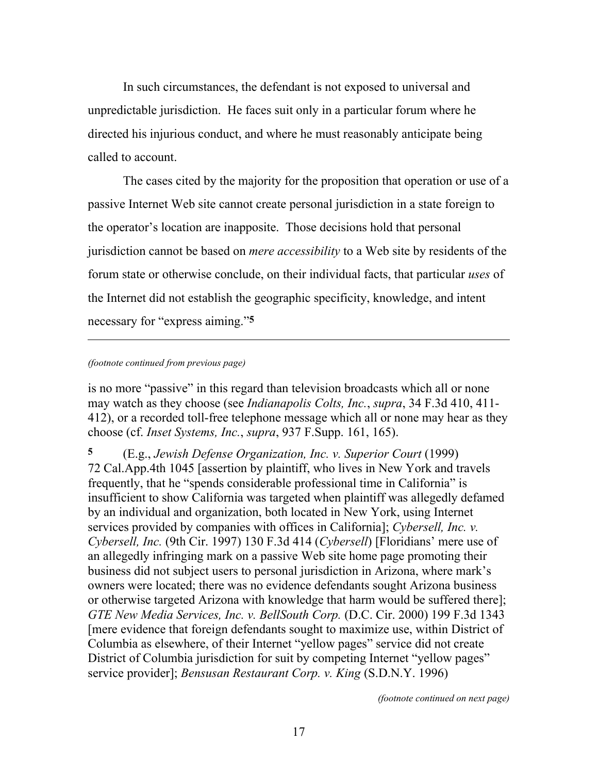In such circumstances, the defendant is not exposed to universal and unpredictable jurisdiction. He faces suit only in a particular forum where he directed his injurious conduct, and where he must reasonably anticipate being called to account.

The cases cited by the majority for the proposition that operation or use of a passive Internet Web site cannot create personal jurisdiction in a state foreign to the operator's location are inapposite. Those decisions hold that personal jurisdiction cannot be based on *mere accessibility* to a Web site by residents of the forum state or otherwise conclude, on their individual facts, that particular *uses* of the Internet did not establish the geographic specificity, knowledge, and intent necessary for "express aiming."**5**

## *(footnote continued from previous page)*

 $\overline{\phantom{a}}$ 

is no more "passive" in this regard than television broadcasts which all or none may watch as they choose (see *Indianapolis Colts, Inc.*, *supra*, 34 F.3d 410, 411- 412), or a recorded toll-free telephone message which all or none may hear as they choose (cf. *Inset Systems, Inc.*, *supra*, 937 F.Supp. 161, 165).

**5** (E.g., *Jewish Defense Organization, Inc. v. Superior Court* (1999) 72 Cal.App.4th 1045 [assertion by plaintiff, who lives in New York and travels frequently, that he "spends considerable professional time in California" is insufficient to show California was targeted when plaintiff was allegedly defamed by an individual and organization, both located in New York, using Internet services provided by companies with offices in California]; *Cybersell, Inc. v. Cybersell, Inc.* (9th Cir. 1997) 130 F.3d 414 (*Cybersell*) [Floridians' mere use of an allegedly infringing mark on a passive Web site home page promoting their business did not subject users to personal jurisdiction in Arizona, where mark's owners were located; there was no evidence defendants sought Arizona business or otherwise targeted Arizona with knowledge that harm would be suffered there]; *GTE New Media Services, Inc. v. BellSouth Corp.* (D.C. Cir. 2000) 199 F.3d 1343 [mere evidence that foreign defendants sought to maximize use, within District of Columbia as elsewhere, of their Internet "yellow pages" service did not create District of Columbia jurisdiction for suit by competing Internet "yellow pages" service provider]; *Bensusan Restaurant Corp. v. King* (S.D.N.Y. 1996)

*(footnote continued on next page)*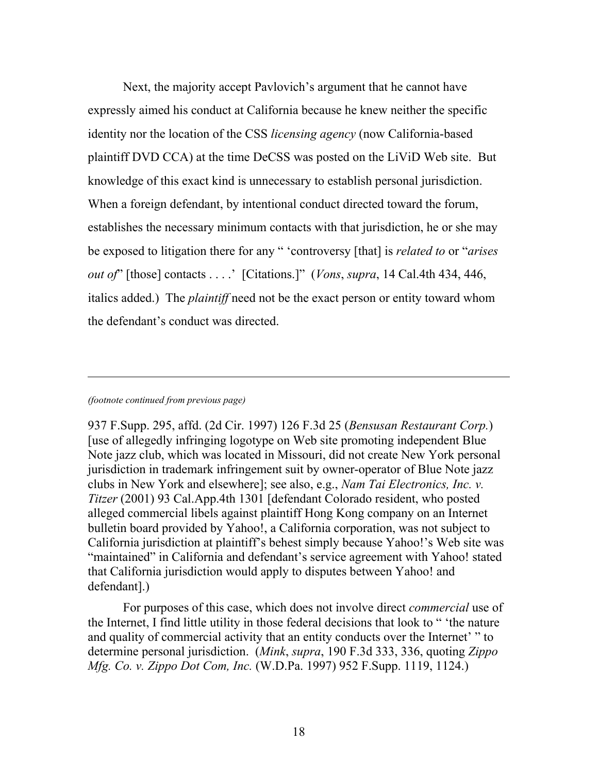Next, the majority accept Pavlovich's argument that he cannot have expressly aimed his conduct at California because he knew neither the specific identity nor the location of the CSS *licensing agency* (now California-based plaintiff DVD CCA) at the time DeCSS was posted on the LiViD Web site. But knowledge of this exact kind is unnecessary to establish personal jurisdiction. When a foreign defendant, by intentional conduct directed toward the forum, establishes the necessary minimum contacts with that jurisdiction, he or she may be exposed to litigation there for any " 'controversy [that] is *related to* or "*arises out of*" [those] contacts . . . .' [Citations.]" (*Vons*, *supra*, 14 Cal.4th 434, 446, italics added.) The *plaintiff* need not be the exact person or entity toward whom the defendant's conduct was directed.

### *(footnote continued from previous page)*

l

937 F.Supp. 295, affd. (2d Cir. 1997) 126 F.3d 25 (*Bensusan Restaurant Corp.*) [use of allegedly infringing logotype on Web site promoting independent Blue Note jazz club, which was located in Missouri, did not create New York personal jurisdiction in trademark infringement suit by owner-operator of Blue Note jazz clubs in New York and elsewhere]; see also, e.g., *Nam Tai Electronics, Inc. v. Titzer* (2001) 93 Cal.App.4th 1301 [defendant Colorado resident, who posted alleged commercial libels against plaintiff Hong Kong company on an Internet bulletin board provided by Yahoo!, a California corporation, was not subject to California jurisdiction at plaintiff's behest simply because Yahoo!'s Web site was "maintained" in California and defendant's service agreement with Yahoo! stated that California jurisdiction would apply to disputes between Yahoo! and defendant].)

 For purposes of this case, which does not involve direct *commercial* use of the Internet, I find little utility in those federal decisions that look to " 'the nature and quality of commercial activity that an entity conducts over the Internet' " to determine personal jurisdiction. (*Mink*, *supra*, 190 F.3d 333, 336, quoting *Zippo Mfg. Co. v. Zippo Dot Com, Inc.* (W.D.Pa. 1997) 952 F.Supp. 1119, 1124.)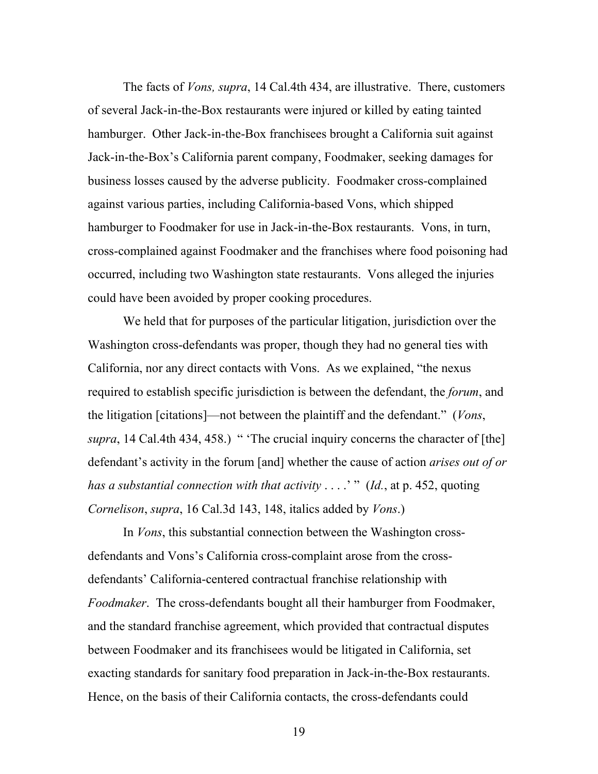The facts of *Vons, supra*, 14 Cal.4th 434, are illustrative. There, customers of several Jack-in-the-Box restaurants were injured or killed by eating tainted hamburger. Other Jack-in-the-Box franchisees brought a California suit against Jack-in-the-Box's California parent company, Foodmaker, seeking damages for business losses caused by the adverse publicity. Foodmaker cross-complained against various parties, including California-based Vons, which shipped hamburger to Foodmaker for use in Jack-in-the-Box restaurants. Vons, in turn, cross-complained against Foodmaker and the franchises where food poisoning had occurred, including two Washington state restaurants. Vons alleged the injuries could have been avoided by proper cooking procedures.

We held that for purposes of the particular litigation, jurisdiction over the Washington cross-defendants was proper, though they had no general ties with California, nor any direct contacts with Vons. As we explained, "the nexus required to establish specific jurisdiction is between the defendant, the *forum*, and the litigation [citations]—not between the plaintiff and the defendant." (*Vons*, *supra*, 14 Cal.4th 434, 458.) " The crucial inquiry concerns the character of [the] defendant's activity in the forum [and] whether the cause of action *arises out of or has a substantial connection with that activity* . . . .' " (*Id.*, at p. 452, quoting *Cornelison*, *supra*, 16 Cal.3d 143, 148, italics added by *Vons*.)

In *Vons*, this substantial connection between the Washington crossdefendants and Vons's California cross-complaint arose from the crossdefendants' California-centered contractual franchise relationship with *Foodmaker*. The cross-defendants bought all their hamburger from Foodmaker, and the standard franchise agreement, which provided that contractual disputes between Foodmaker and its franchisees would be litigated in California, set exacting standards for sanitary food preparation in Jack-in-the-Box restaurants. Hence, on the basis of their California contacts, the cross-defendants could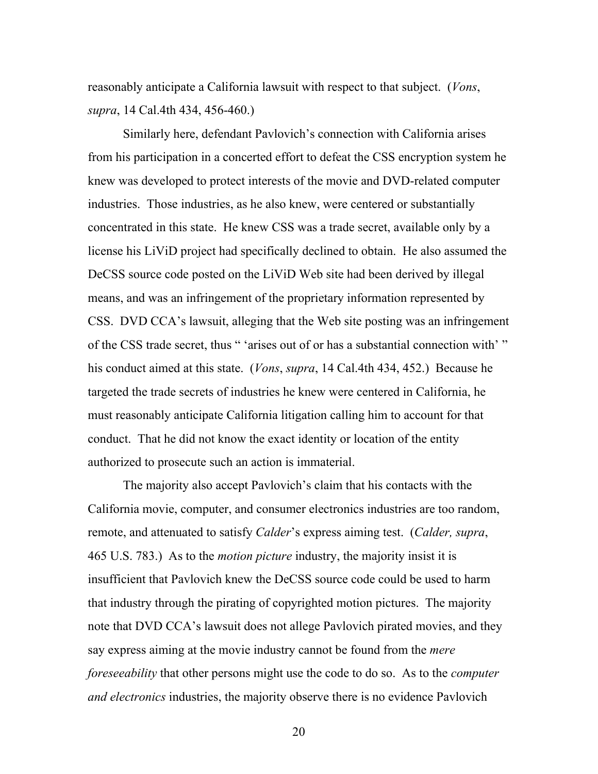reasonably anticipate a California lawsuit with respect to that subject. (*Vons*, *supra*, 14 Cal.4th 434, 456-460.)

Similarly here, defendant Pavlovich's connection with California arises from his participation in a concerted effort to defeat the CSS encryption system he knew was developed to protect interests of the movie and DVD-related computer industries. Those industries, as he also knew, were centered or substantially concentrated in this state. He knew CSS was a trade secret, available only by a license his LiViD project had specifically declined to obtain. He also assumed the DeCSS source code posted on the LiViD Web site had been derived by illegal means, and was an infringement of the proprietary information represented by CSS. DVD CCA's lawsuit, alleging that the Web site posting was an infringement of the CSS trade secret, thus " 'arises out of or has a substantial connection with' " his conduct aimed at this state. (*Vons*, *supra*, 14 Cal.4th 434, 452.) Because he targeted the trade secrets of industries he knew were centered in California, he must reasonably anticipate California litigation calling him to account for that conduct. That he did not know the exact identity or location of the entity authorized to prosecute such an action is immaterial.

The majority also accept Pavlovich's claim that his contacts with the California movie, computer, and consumer electronics industries are too random, remote, and attenuated to satisfy *Calder*'s express aiming test. (*Calder, supra*, 465 U.S. 783.) As to the *motion picture* industry, the majority insist it is insufficient that Pavlovich knew the DeCSS source code could be used to harm that industry through the pirating of copyrighted motion pictures. The majority note that DVD CCA's lawsuit does not allege Pavlovich pirated movies, and they say express aiming at the movie industry cannot be found from the *mere foreseeability* that other persons might use the code to do so. As to the *computer and electronics* industries, the majority observe there is no evidence Pavlovich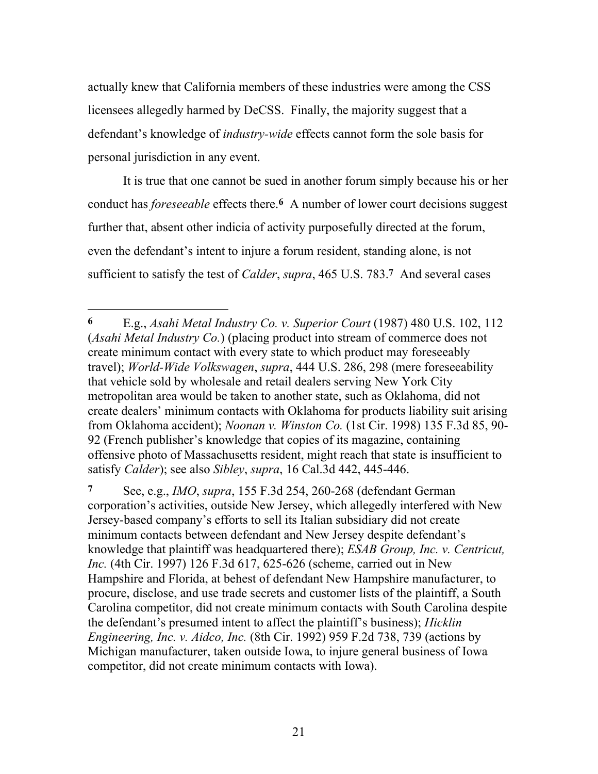actually knew that California members of these industries were among the CSS licensees allegedly harmed by DeCSS. Finally, the majority suggest that a defendant's knowledge of *industry-wide* effects cannot form the sole basis for personal jurisdiction in any event.

It is true that one cannot be sued in another forum simply because his or her conduct has *foreseeable* effects there.**6** A number of lower court decisions suggest further that, absent other indicia of activity purposefully directed at the forum, even the defendant's intent to injure a forum resident, standing alone, is not sufficient to satisfy the test of *Calder*, *supra*, 465 U.S. 783.**7** And several cases

 $\overline{a}$ 

**7** See, e.g., *IMO*, *supra*, 155 F.3d 254, 260-268 (defendant German corporation's activities, outside New Jersey, which allegedly interfered with New Jersey-based company's efforts to sell its Italian subsidiary did not create minimum contacts between defendant and New Jersey despite defendant's knowledge that plaintiff was headquartered there); *ESAB Group, Inc. v. Centricut, Inc.* (4th Cir. 1997) 126 F.3d 617, 625-626 (scheme, carried out in New Hampshire and Florida, at behest of defendant New Hampshire manufacturer, to procure, disclose, and use trade secrets and customer lists of the plaintiff, a South Carolina competitor, did not create minimum contacts with South Carolina despite the defendant's presumed intent to affect the plaintiff's business); *Hicklin Engineering, Inc. v. Aidco, Inc.* (8th Cir. 1992) 959 F.2d 738, 739 (actions by Michigan manufacturer, taken outside Iowa, to injure general business of Iowa competitor, did not create minimum contacts with Iowa).

**<sup>6</sup>** E.g., *Asahi Metal Industry Co. v. Superior Court* (1987) 480 U.S. 102, 112 (*Asahi Metal Industry Co.*) (placing product into stream of commerce does not create minimum contact with every state to which product may foreseeably travel); *World-Wide Volkswagen*, *supra*, 444 U.S. 286, 298 (mere foreseeability that vehicle sold by wholesale and retail dealers serving New York City metropolitan area would be taken to another state, such as Oklahoma, did not create dealers' minimum contacts with Oklahoma for products liability suit arising from Oklahoma accident); *Noonan v. Winston Co.* (1st Cir. 1998) 135 F.3d 85, 90- 92 (French publisher's knowledge that copies of its magazine, containing offensive photo of Massachusetts resident, might reach that state is insufficient to satisfy *Calder*); see also *Sibley*, *supra*, 16 Cal.3d 442, 445-446.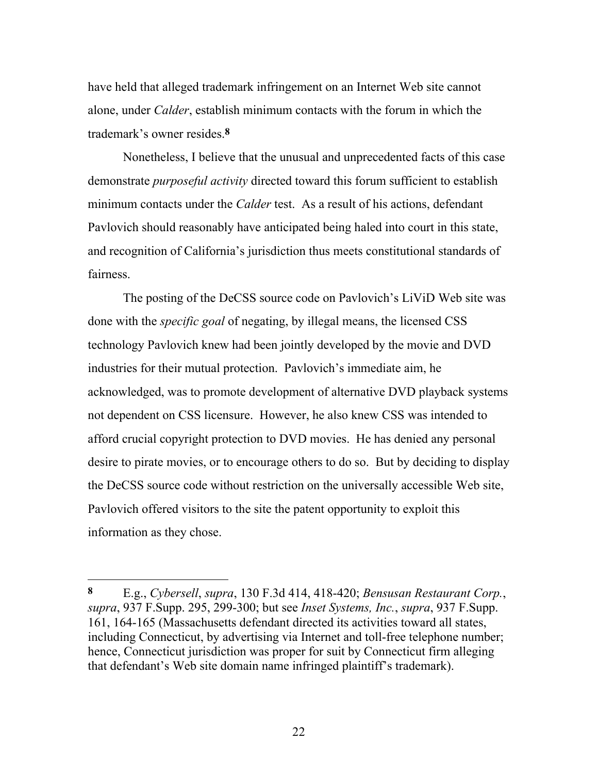have held that alleged trademark infringement on an Internet Web site cannot alone, under *Calder*, establish minimum contacts with the forum in which the trademark's owner resides.**8**

Nonetheless, I believe that the unusual and unprecedented facts of this case demonstrate *purposeful activity* directed toward this forum sufficient to establish minimum contacts under the *Calder* test. As a result of his actions, defendant Pavlovich should reasonably have anticipated being haled into court in this state, and recognition of California's jurisdiction thus meets constitutional standards of fairness.

The posting of the DeCSS source code on Pavlovich's LiViD Web site was done with the *specific goal* of negating, by illegal means, the licensed CSS technology Pavlovich knew had been jointly developed by the movie and DVD industries for their mutual protection. Pavlovich's immediate aim, he acknowledged, was to promote development of alternative DVD playback systems not dependent on CSS licensure. However, he also knew CSS was intended to afford crucial copyright protection to DVD movies. He has denied any personal desire to pirate movies, or to encourage others to do so. But by deciding to display the DeCSS source code without restriction on the universally accessible Web site, Pavlovich offered visitors to the site the patent opportunity to exploit this information as they chose.

**<sup>8</sup>** E.g., *Cybersell*, *supra*, 130 F.3d 414, 418-420; *Bensusan Restaurant Corp.*, *supra*, 937 F.Supp. 295, 299-300; but see *Inset Systems, Inc.*, *supra*, 937 F.Supp. 161, 164-165 (Massachusetts defendant directed its activities toward all states, including Connecticut, by advertising via Internet and toll-free telephone number; hence, Connecticut jurisdiction was proper for suit by Connecticut firm alleging that defendant's Web site domain name infringed plaintiff's trademark).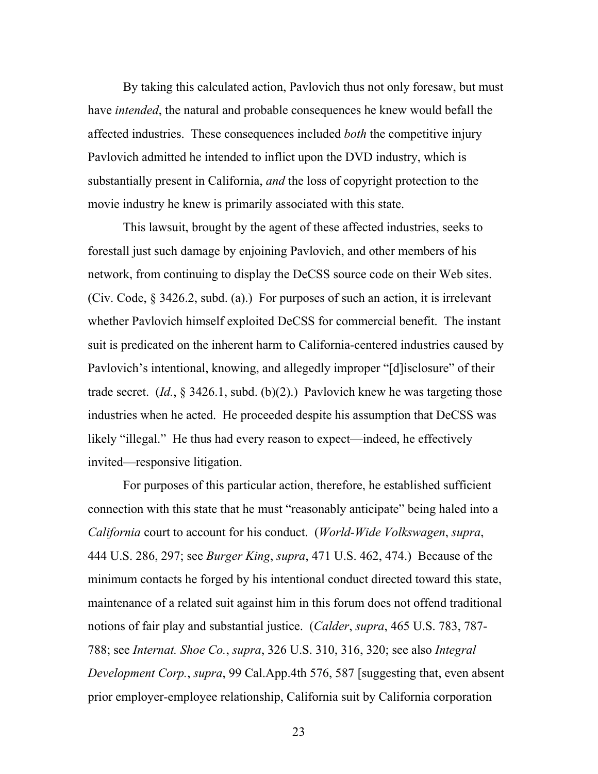By taking this calculated action, Pavlovich thus not only foresaw, but must have *intended*, the natural and probable consequences he knew would befall the affected industries. These consequences included *both* the competitive injury Pavlovich admitted he intended to inflict upon the DVD industry, which is substantially present in California, *and* the loss of copyright protection to the movie industry he knew is primarily associated with this state.

This lawsuit, brought by the agent of these affected industries, seeks to forestall just such damage by enjoining Pavlovich, and other members of his network, from continuing to display the DeCSS source code on their Web sites. (Civ. Code, § 3426.2, subd. (a).) For purposes of such an action, it is irrelevant whether Pavlovich himself exploited DeCSS for commercial benefit. The instant suit is predicated on the inherent harm to California-centered industries caused by Pavlovich's intentional, knowing, and allegedly improper "[d]isclosure" of their trade secret. (*Id.*, § 3426.1, subd. (b)(2).) Pavlovich knew he was targeting those industries when he acted. He proceeded despite his assumption that DeCSS was likely "illegal." He thus had every reason to expect—indeed, he effectively invited—responsive litigation.

For purposes of this particular action, therefore, he established sufficient connection with this state that he must "reasonably anticipate" being haled into a *California* court to account for his conduct. (*World-Wide Volkswagen*, *supra*, 444 U.S. 286, 297; see *Burger King*, *supra*, 471 U.S. 462, 474.) Because of the minimum contacts he forged by his intentional conduct directed toward this state, maintenance of a related suit against him in this forum does not offend traditional notions of fair play and substantial justice. (*Calder*, *supra*, 465 U.S. 783, 787- 788; see *Internat. Shoe Co.*, *supra*, 326 U.S. 310, 316, 320; see also *Integral Development Corp.*, *supra*, 99 Cal.App.4th 576, 587 [suggesting that, even absent prior employer-employee relationship, California suit by California corporation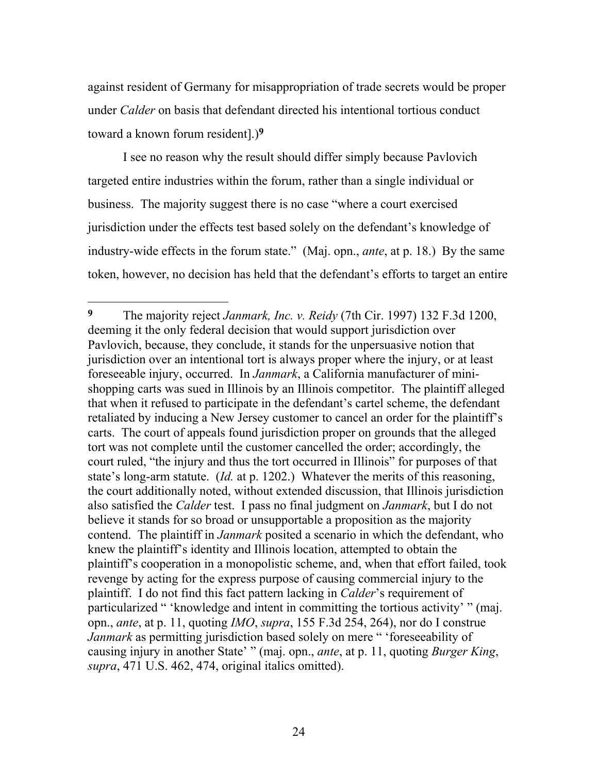against resident of Germany for misappropriation of trade secrets would be proper under *Calder* on basis that defendant directed his intentional tortious conduct toward a known forum resident].)**9**

I see no reason why the result should differ simply because Pavlovich targeted entire industries within the forum, rather than a single individual or business. The majority suggest there is no case "where a court exercised jurisdiction under the effects test based solely on the defendant's knowledge of industry-wide effects in the forum state." (Maj. opn., *ante*, at p. 18.) By the same token, however, no decision has held that the defendant's efforts to target an entire

 $\overline{a}$ **9** The majority reject *Janmark, Inc. v. Reidy* (7th Cir. 1997) 132 F.3d 1200, deeming it the only federal decision that would support jurisdiction over Pavlovich, because, they conclude, it stands for the unpersuasive notion that jurisdiction over an intentional tort is always proper where the injury, or at least foreseeable injury, occurred. In *Janmark*, a California manufacturer of minishopping carts was sued in Illinois by an Illinois competitor. The plaintiff alleged that when it refused to participate in the defendant's cartel scheme, the defendant retaliated by inducing a New Jersey customer to cancel an order for the plaintiff's carts. The court of appeals found jurisdiction proper on grounds that the alleged tort was not complete until the customer cancelled the order; accordingly, the court ruled, "the injury and thus the tort occurred in Illinois" for purposes of that state's long-arm statute. (*Id.* at p. 1202.) Whatever the merits of this reasoning, the court additionally noted, without extended discussion, that Illinois jurisdiction also satisfied the *Calder* test. I pass no final judgment on *Janmark*, but I do not believe it stands for so broad or unsupportable a proposition as the majority contend. The plaintiff in *Janmark* posited a scenario in which the defendant, who knew the plaintiff's identity and Illinois location, attempted to obtain the plaintiff's cooperation in a monopolistic scheme, and, when that effort failed, took revenge by acting for the express purpose of causing commercial injury to the plaintiff. I do not find this fact pattern lacking in *Calder*'s requirement of particularized " 'knowledge and intent in committing the tortious activity' " (maj. opn., *ante*, at p. 11, quoting *IMO*, *supra*, 155 F.3d 254, 264), nor do I construe *Janmark* as permitting jurisdiction based solely on mere " 'foreseeability of causing injury in another State' " (maj. opn., *ante*, at p. 11, quoting *Burger King*, *supra*, 471 U.S. 462, 474, original italics omitted).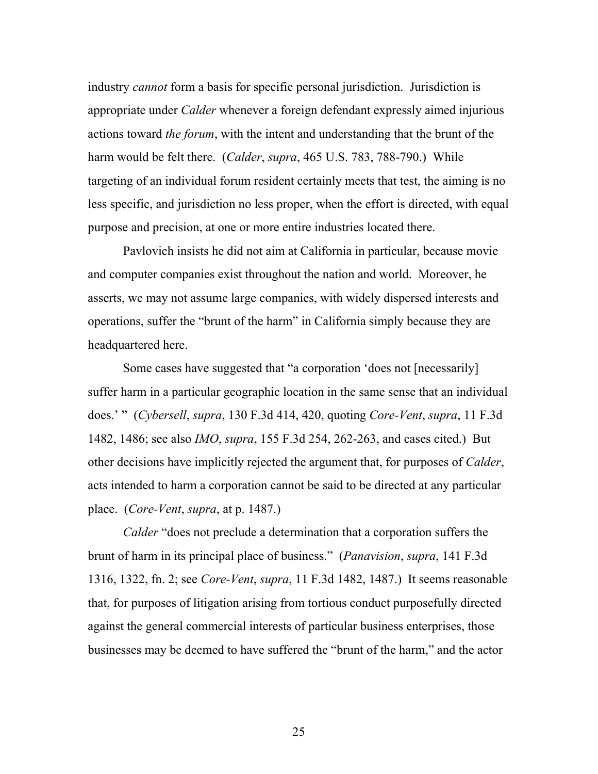industry *cannot* form a basis for specific personal jurisdiction. Jurisdiction is appropriate under *Calder* whenever a foreign defendant expressly aimed injurious actions toward *the forum*, with the intent and understanding that the brunt of the harm would be felt there. (*Calder*, *supra*, 465 U.S. 783, 788-790.) While targeting of an individual forum resident certainly meets that test, the aiming is no less specific, and jurisdiction no less proper, when the effort is directed, with equal purpose and precision, at one or more entire industries located there.

Pavlovich insists he did not aim at California in particular, because movie and computer companies exist throughout the nation and world. Moreover, he asserts, we may not assume large companies, with widely dispersed interests and operations, suffer the "brunt of the harm" in California simply because they are headquartered here.

Some cases have suggested that "a corporation 'does not [necessarily] suffer harm in a particular geographic location in the same sense that an individual does.' " (*Cybersell*, *supra*, 130 F.3d 414, 420, quoting *Core-Vent*, *supra*, 11 F.3d 1482, 1486; see also *IMO*, *supra*, 155 F.3d 254, 262-263, and cases cited.) But other decisions have implicitly rejected the argument that, for purposes of *Calder*, acts intended to harm a corporation cannot be said to be directed at any particular place. (*Core-Vent*, *supra*, at p. 1487.)

*Calder* "does not preclude a determination that a corporation suffers the brunt of harm in its principal place of business." (*Panavision*, *supra*, 141 F.3d 1316, 1322, fn. 2; see *Core-Vent*, *supra*, 11 F.3d 1482, 1487.) It seems reasonable that, for purposes of litigation arising from tortious conduct purposefully directed against the general commercial interests of particular business enterprises, those businesses may be deemed to have suffered the "brunt of the harm," and the actor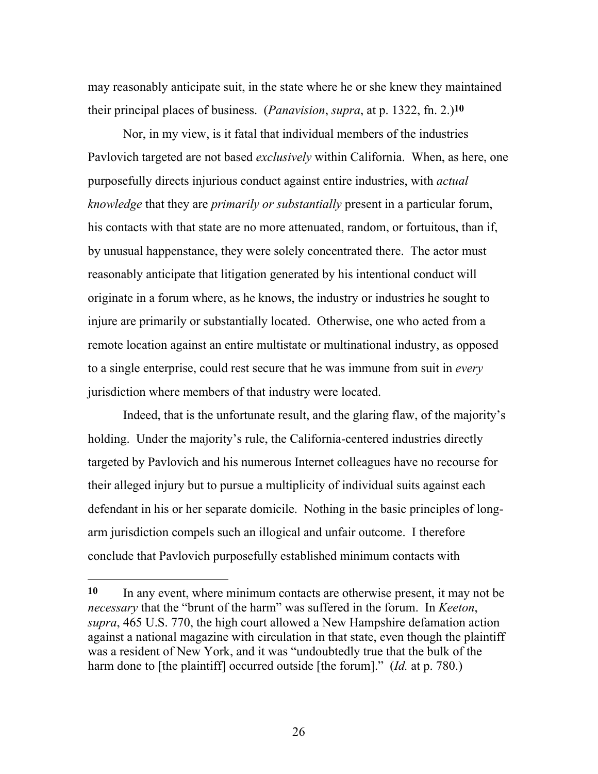may reasonably anticipate suit, in the state where he or she knew they maintained their principal places of business. (*Panavision*, *supra*, at p. 1322, fn. 2.)**10**

Nor, in my view, is it fatal that individual members of the industries Pavlovich targeted are not based *exclusively* within California. When, as here, one purposefully directs injurious conduct against entire industries, with *actual knowledge* that they are *primarily or substantially* present in a particular forum, his contacts with that state are no more attenuated, random, or fortuitous, than if, by unusual happenstance, they were solely concentrated there. The actor must reasonably anticipate that litigation generated by his intentional conduct will originate in a forum where, as he knows, the industry or industries he sought to injure are primarily or substantially located. Otherwise, one who acted from a remote location against an entire multistate or multinational industry, as opposed to a single enterprise, could rest secure that he was immune from suit in *every* jurisdiction where members of that industry were located.

Indeed, that is the unfortunate result, and the glaring flaw, of the majority's holding. Under the majority's rule, the California-centered industries directly targeted by Pavlovich and his numerous Internet colleagues have no recourse for their alleged injury but to pursue a multiplicity of individual suits against each defendant in his or her separate domicile. Nothing in the basic principles of longarm jurisdiction compels such an illogical and unfair outcome. I therefore conclude that Pavlovich purposefully established minimum contacts with

 $\overline{a}$ 

**<sup>10</sup>** In any event, where minimum contacts are otherwise present, it may not be *necessary* that the "brunt of the harm" was suffered in the forum. In *Keeton*, *supra*, 465 U.S. 770, the high court allowed a New Hampshire defamation action against a national magazine with circulation in that state, even though the plaintiff was a resident of New York, and it was "undoubtedly true that the bulk of the harm done to [the plaintiff] occurred outside [the forum]." (*Id.* at p. 780.)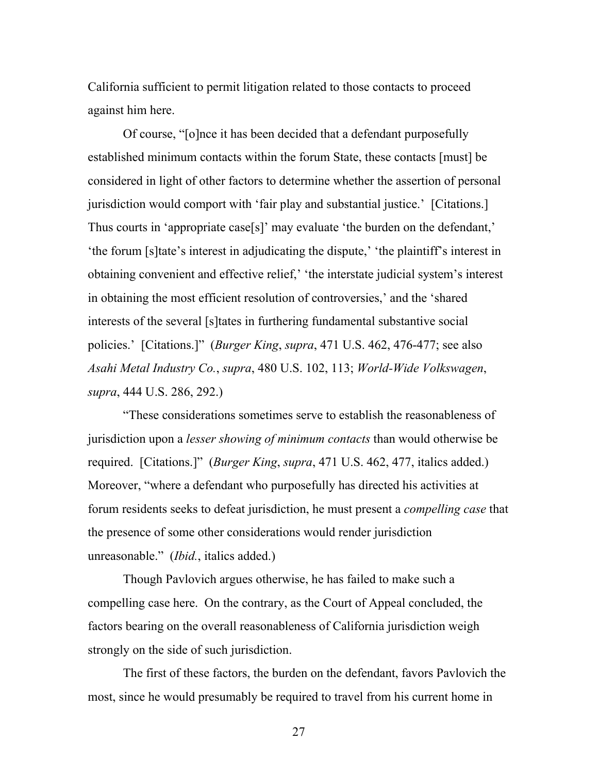California sufficient to permit litigation related to those contacts to proceed against him here.

Of course, "[o]nce it has been decided that a defendant purposefully established minimum contacts within the forum State, these contacts [must] be considered in light of other factors to determine whether the assertion of personal jurisdiction would comport with 'fair play and substantial justice.' [Citations.] Thus courts in 'appropriate case[s]' may evaluate 'the burden on the defendant,' 'the forum [s]tate's interest in adjudicating the dispute,' 'the plaintiff's interest in obtaining convenient and effective relief,' 'the interstate judicial system's interest in obtaining the most efficient resolution of controversies,' and the 'shared interests of the several [s]tates in furthering fundamental substantive social policies.' [Citations.]" (*Burger King*, *supra*, 471 U.S. 462, 476-477; see also *Asahi Metal Industry Co.*, *supra*, 480 U.S. 102, 113; *World-Wide Volkswagen*, *supra*, 444 U.S. 286, 292.)

"These considerations sometimes serve to establish the reasonableness of jurisdiction upon a *lesser showing of minimum contacts* than would otherwise be required. [Citations.]" (*Burger King*, *supra*, 471 U.S. 462, 477, italics added.) Moreover, "where a defendant who purposefully has directed his activities at forum residents seeks to defeat jurisdiction, he must present a *compelling case* that the presence of some other considerations would render jurisdiction unreasonable." (*Ibid.*, italics added.)

Though Pavlovich argues otherwise, he has failed to make such a compelling case here. On the contrary, as the Court of Appeal concluded, the factors bearing on the overall reasonableness of California jurisdiction weigh strongly on the side of such jurisdiction.

The first of these factors, the burden on the defendant, favors Pavlovich the most, since he would presumably be required to travel from his current home in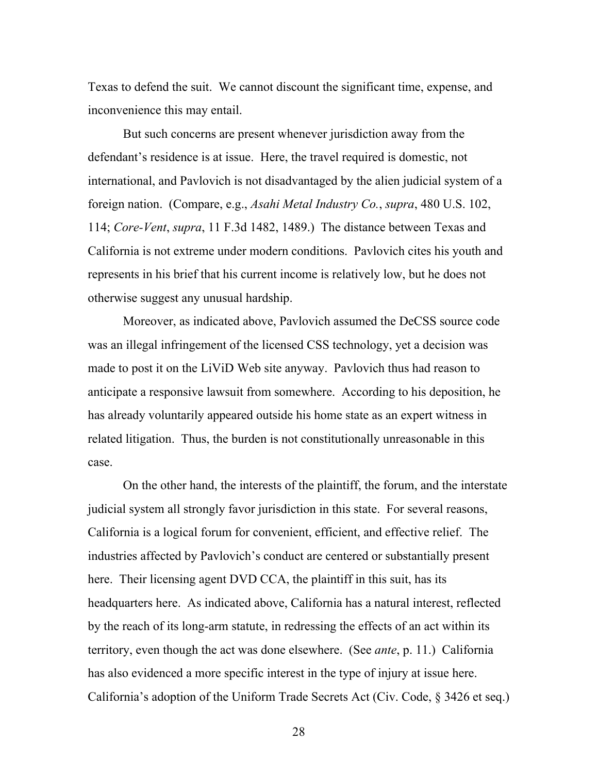Texas to defend the suit. We cannot discount the significant time, expense, and inconvenience this may entail.

But such concerns are present whenever jurisdiction away from the defendant's residence is at issue. Here, the travel required is domestic, not international, and Pavlovich is not disadvantaged by the alien judicial system of a foreign nation. (Compare, e.g., *Asahi Metal Industry Co.*, *supra*, 480 U.S. 102, 114; *Core-Vent*, *supra*, 11 F.3d 1482, 1489.) The distance between Texas and California is not extreme under modern conditions. Pavlovich cites his youth and represents in his brief that his current income is relatively low, but he does not otherwise suggest any unusual hardship.

Moreover, as indicated above, Pavlovich assumed the DeCSS source code was an illegal infringement of the licensed CSS technology, yet a decision was made to post it on the LiViD Web site anyway. Pavlovich thus had reason to anticipate a responsive lawsuit from somewhere. According to his deposition, he has already voluntarily appeared outside his home state as an expert witness in related litigation. Thus, the burden is not constitutionally unreasonable in this case.

On the other hand, the interests of the plaintiff, the forum, and the interstate judicial system all strongly favor jurisdiction in this state. For several reasons, California is a logical forum for convenient, efficient, and effective relief. The industries affected by Pavlovich's conduct are centered or substantially present here. Their licensing agent DVD CCA, the plaintiff in this suit, has its headquarters here. As indicated above, California has a natural interest, reflected by the reach of its long-arm statute, in redressing the effects of an act within its territory, even though the act was done elsewhere. (See *ante*, p. 11.) California has also evidenced a more specific interest in the type of injury at issue here. California's adoption of the Uniform Trade Secrets Act (Civ. Code, § 3426 et seq.)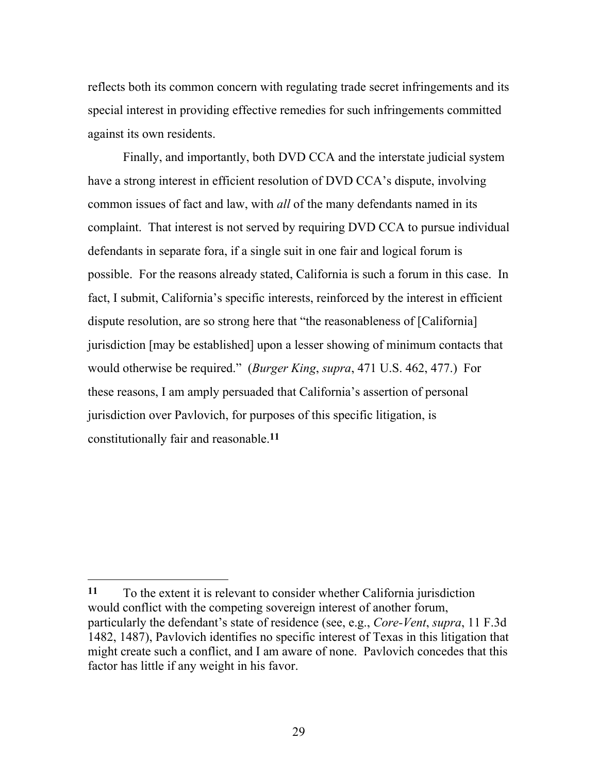reflects both its common concern with regulating trade secret infringements and its special interest in providing effective remedies for such infringements committed against its own residents.

Finally, and importantly, both DVD CCA and the interstate judicial system have a strong interest in efficient resolution of DVD CCA's dispute, involving common issues of fact and law, with *all* of the many defendants named in its complaint. That interest is not served by requiring DVD CCA to pursue individual defendants in separate fora, if a single suit in one fair and logical forum is possible. For the reasons already stated, California is such a forum in this case. In fact, I submit, California's specific interests, reinforced by the interest in efficient dispute resolution, are so strong here that "the reasonableness of [California] jurisdiction [may be established] upon a lesser showing of minimum contacts that would otherwise be required." (*Burger King*, *supra*, 471 U.S. 462, 477.) For these reasons, I am amply persuaded that California's assertion of personal jurisdiction over Pavlovich, for purposes of this specific litigation, is constitutionally fair and reasonable.**11**

**11** To the extent it is relevant to consider whether California jurisdiction would conflict with the competing sovereign interest of another forum, particularly the defendant's state of residence (see, e.g., *Core-Vent*, *supra*, 11 F.3d 1482, 1487), Pavlovich identifies no specific interest of Texas in this litigation that might create such a conflict, and I am aware of none. Pavlovich concedes that this factor has little if any weight in his favor.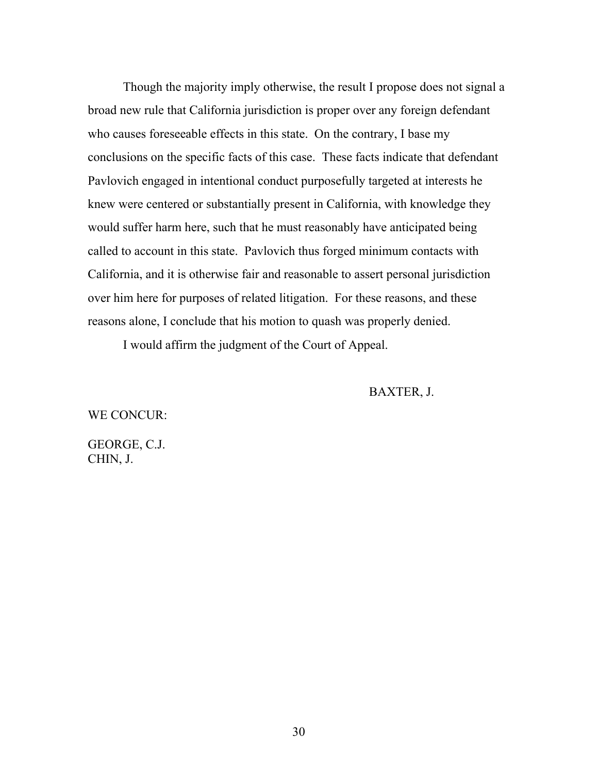Though the majority imply otherwise, the result I propose does not signal a broad new rule that California jurisdiction is proper over any foreign defendant who causes foreseeable effects in this state. On the contrary, I base my conclusions on the specific facts of this case. These facts indicate that defendant Pavlovich engaged in intentional conduct purposefully targeted at interests he knew were centered or substantially present in California, with knowledge they would suffer harm here, such that he must reasonably have anticipated being called to account in this state. Pavlovich thus forged minimum contacts with California, and it is otherwise fair and reasonable to assert personal jurisdiction over him here for purposes of related litigation. For these reasons, and these reasons alone, I conclude that his motion to quash was properly denied.

I would affirm the judgment of the Court of Appeal.

BAXTER, J.

WE CONCUR:

GEORGE, C.J. CHIN, J.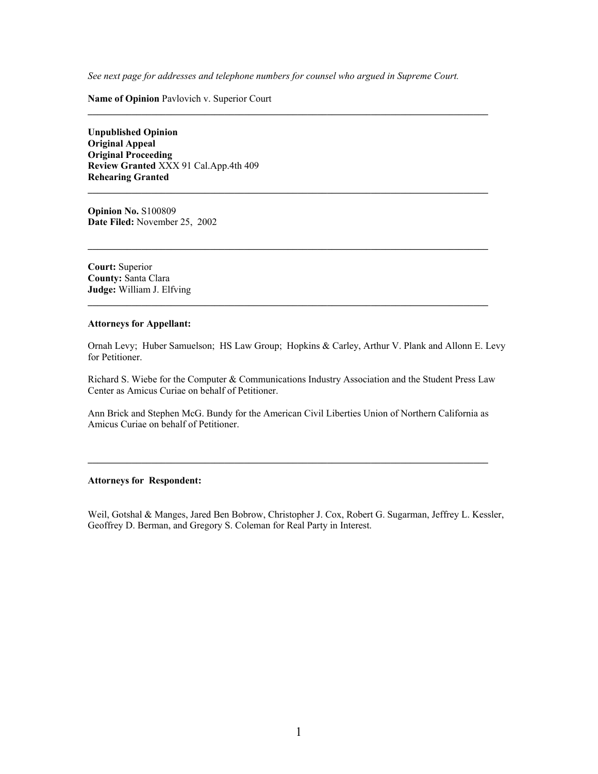See next page for addresses and telephone numbers for counsel who argued in Supreme Court.

**\_\_\_\_\_\_\_\_\_\_\_\_\_\_\_\_\_\_\_\_\_\_\_\_\_\_\_\_\_\_\_\_\_\_\_\_\_\_\_\_\_\_\_\_\_\_\_\_\_\_\_\_\_\_\_\_\_\_\_\_\_\_\_\_\_\_\_\_\_\_\_\_\_\_\_\_\_\_\_\_\_\_** 

**\_\_\_\_\_\_\_\_\_\_\_\_\_\_\_\_\_\_\_\_\_\_\_\_\_\_\_\_\_\_\_\_\_\_\_\_\_\_\_\_\_\_\_\_\_\_\_\_\_\_\_\_\_\_\_\_\_\_\_\_\_\_\_\_\_\_\_\_\_\_\_\_\_\_\_\_\_\_\_\_\_\_** 

**\_\_\_\_\_\_\_\_\_\_\_\_\_\_\_\_\_\_\_\_\_\_\_\_\_\_\_\_\_\_\_\_\_\_\_\_\_\_\_\_\_\_\_\_\_\_\_\_\_\_\_\_\_\_\_\_\_\_\_\_\_\_\_\_\_\_\_\_\_\_\_\_\_\_\_\_\_\_\_\_\_\_** 

**Name of Opinion** Pavlovich v. Superior Court

**Unpublished Opinion Original Appeal Original Proceeding Review Granted** XXX 91 Cal.App.4th 409 **Rehearing Granted** 

**Opinion No.** S100809 **Date Filed:** November 25, 2002

**Court:** Superior **County:** Santa Clara **Judge:** William J. Elfving

#### **Attorneys for Appellant:**

Ornah Levy; Huber Samuelson; HS Law Group; Hopkins & Carley, Arthur V. Plank and Allonn E. Levy for Petitioner.

Richard S. Wiebe for the Computer & Communications Industry Association and the Student Press Law Center as Amicus Curiae on behalf of Petitioner.

Ann Brick and Stephen McG. Bundy for the American Civil Liberties Union of Northern California as Amicus Curiae on behalf of Petitioner.

#### **Attorneys for Respondent:**

Weil, Gotshal & Manges, Jared Ben Bobrow, Christopher J. Cox, Robert G. Sugarman, Jeffrey L. Kessler, Geoffrey D. Berman, and Gregory S. Coleman for Real Party in Interest.